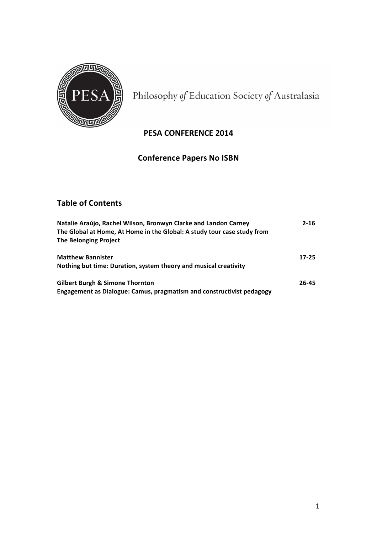

Philosophy of Education Society of Australasia

# **PESA CONFERENCE 2014**

# **Conference Papers No ISBN**

# **Table of Contents**

| Natalie Araújo, Rachel Wilson, Bronwyn Clarke and Landon Carney<br>The Global at Home, At Home in the Global: A study tour case study from<br><b>The Belonging Project</b> | $2 - 16$  |
|----------------------------------------------------------------------------------------------------------------------------------------------------------------------------|-----------|
| <b>Matthew Bannister</b><br>Nothing but time: Duration, system theory and musical creativity                                                                               | $17 - 25$ |
| <b>Gilbert Burgh &amp; Simone Thornton</b><br><b>Engagement as Dialogue: Camus, pragmatism and constructivist pedagogy</b>                                                 | 26-45     |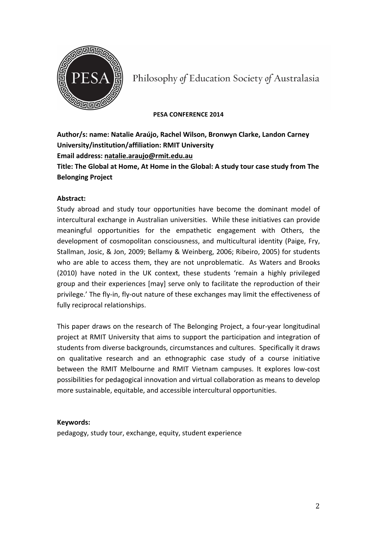

Philosophy of Education Society of Australasia

### **PESA CONFERENCE 2014**

Author/s: name: Natalie Araújo, Rachel Wilson, Bronwyn Clarke, Landon Carney **University/institution/affiliation: RMIT University Email address: natalie.araujo@rmit.edu.au Title: The Global at Home, At Home in the Global: A study tour case study from The Belonging Project**

### **Abstract:**

Study abroad and study tour opportunities have become the dominant model of intercultural exchange in Australian universities. While these initiatives can provide meaningful opportunities for the empathetic engagement with Others, the development of cosmopolitan consciousness, and multicultural identity (Paige, Fry, Stallman, Josic, & Jon, 2009; Bellamy & Weinberg, 2006; Ribeiro, 2005) for students who are able to access them, they are not unproblematic. As Waters and Brooks (2010) have noted in the UK context, these students 'remain a highly privileged group and their experiences [may] serve only to facilitate the reproduction of their privilege.' The fly-in, fly-out nature of these exchanges may limit the effectiveness of fully reciprocal relationships.

This paper draws on the research of The Belonging Project, a four-year longitudinal project at RMIT University that aims to support the participation and integration of students from diverse backgrounds, circumstances and cultures. Specifically it draws on qualitative research and an ethnographic case study of a course initiative between the RMIT Melbourne and RMIT Vietnam campuses. It explores low-cost possibilities for pedagogical innovation and virtual collaboration as means to develop more sustainable, equitable, and accessible intercultural opportunities.

### **Keywords:**

pedagogy, study tour, exchange, equity, student experience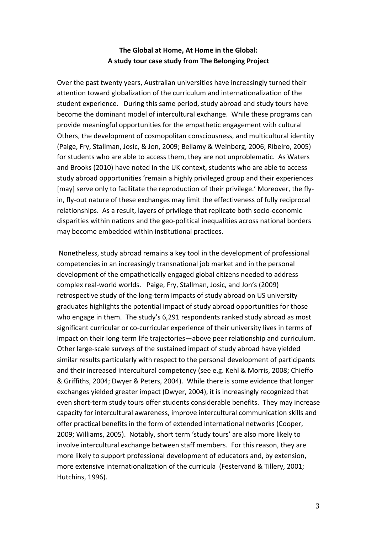# **The Global at Home, At Home in the Global:** A study tour case study from The Belonging Project

Over the past twenty years, Australian universities have increasingly turned their attention toward globalization of the curriculum and internationalization of the student experience. During this same period, study abroad and study tours have become the dominant model of intercultural exchange. While these programs can provide meaningful opportunities for the empathetic engagement with cultural Others, the development of cosmopolitan consciousness, and multicultural identity (Paige, Fry, Stallman, Josic, & Jon, 2009; Bellamy & Weinberg, 2006; Ribeiro, 2005) for students who are able to access them, they are not unproblematic. As Waters and Brooks (2010) have noted in the UK context, students who are able to access study abroad opportunities 'remain a highly privileged group and their experiences [may] serve only to facilitate the reproduction of their privilege.' Moreover, the flyin, fly-out nature of these exchanges may limit the effectiveness of fully reciprocal relationships. As a result, layers of privilege that replicate both socio-economic disparities within nations and the geo-political inequalities across national borders may become embedded within institutional practices.

Nonetheless, study abroad remains a key tool in the development of professional competencies in an increasingly transnational job market and in the personal development of the empathetically engaged global citizens needed to address complex real-world worlds. Paige, Fry, Stallman, Josic, and Jon's (2009) retrospective study of the long-term impacts of study abroad on US university graduates highlights the potential impact of study abroad opportunities for those who engage in them. The study's 6,291 respondents ranked study abroad as most significant curricular or co-curricular experience of their university lives in terms of impact on their long-term life trajectories—above peer relationship and curriculum. Other large-scale surveys of the sustained impact of study abroad have yielded similar results particularly with respect to the personal development of participants and their increased intercultural competency (see e.g. Kehl & Morris, 2008; Chieffo & Griffiths, 2004; Dwyer & Peters, 2004). While there is some evidence that longer exchanges yielded greater impact (Dwyer, 2004), it is increasingly recognized that even short-term study tours offer students considerable benefits. They may increase capacity for intercultural awareness, improve intercultural communication skills and offer practical benefits in the form of extended international networks (Cooper, 2009; Williams, 2005). Notably, short term 'study tours' are also more likely to involve intercultural exchange between staff members. For this reason, they are more likely to support professional development of educators and, by extension, more extensive internationalization of the curricula (Festervand & Tillery, 2001; Hutchins, 1996).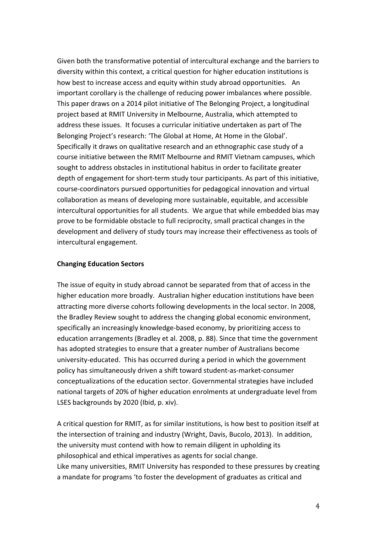Given both the transformative potential of intercultural exchange and the barriers to diversity within this context, a critical question for higher education institutions is how best to increase access and equity within study abroad opportunities. An important corollary is the challenge of reducing power imbalances where possible. This paper draws on a 2014 pilot initiative of The Belonging Project, a longitudinal project based at RMIT University in Melbourne, Australia, which attempted to address these issues. It focuses a curricular initiative undertaken as part of The Belonging Project's research: 'The Global at Home, At Home in the Global'. Specifically it draws on qualitative research and an ethnographic case study of a course initiative between the RMIT Melbourne and RMIT Vietnam campuses, which sought to address obstacles in institutional habitus in order to facilitate greater depth of engagement for short-term study tour participants. As part of this initiative, course-coordinators pursued opportunities for pedagogical innovation and virtual collaboration as means of developing more sustainable, equitable, and accessible intercultural opportunities for all students. We argue that while embedded bias may prove to be formidable obstacle to full reciprocity, small practical changes in the development and delivery of study tours may increase their effectiveness as tools of intercultural engagement.

### **Changing Education Sectors**

The issue of equity in study abroad cannot be separated from that of access in the higher education more broadly. Australian higher education institutions have been attracting more diverse cohorts following developments in the local sector. In 2008, the Bradley Review sought to address the changing global economic environment, specifically an increasingly knowledge-based economy, by prioritizing access to education arrangements (Bradley et al. 2008, p. 88). Since that time the government has adopted strategies to ensure that a greater number of Australians become university-educated. This has occurred during a period in which the government policy has simultaneously driven a shift toward student-as-market-consumer conceptualizations of the education sector. Governmental strategies have included national targets of 20% of higher education enrolments at undergraduate level from LSES backgrounds by 2020 (Ibid, p. xiv).

A critical question for RMIT, as for similar institutions, is how best to position itself at the intersection of training and industry (Wright, Davis, Bucolo, 2013). In addition, the university must contend with how to remain diligent in upholding its philosophical and ethical imperatives as agents for social change. Like many universities, RMIT University has responded to these pressures by creating a mandate for programs 'to foster the development of graduates as critical and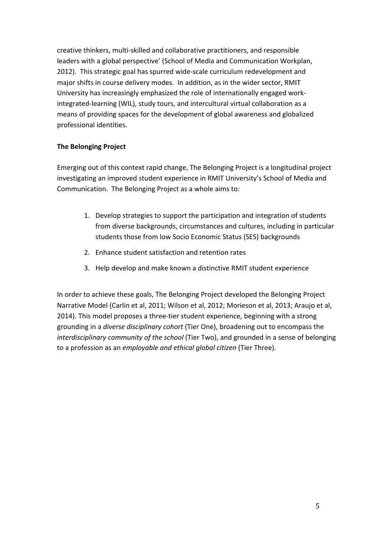creative thinkers, multi-skilled and collaborative practitioners, and responsible leaders with a global perspective' (School of Media and Communication Workplan, 2012). This strategic goal has spurred wide-scale curriculum redevelopment and major shifts in course delivery modes. In addition, as in the wider sector, RMIT University has increasingly emphasized the role of internationally engaged workintegrated-learning (WIL), study tours, and intercultural virtual collaboration as a means of providing spaces for the development of global awareness and globalized professional identities.

# **The Belonging Project**

Emerging out of this context rapid change, The Belonging Project is a longitudinal project investigating an improved student experience in RMIT University's School of Media and Communication. The Belonging Project as a whole aims to:

- 1. Develop strategies to support the participation and integration of students from diverse backgrounds, circumstances and cultures, including in particular students those from low Socio Economic Status (SES) backgrounds
- 2. Enhance student satisfaction and retention rates
- 3. Help develop and make known a distinctive RMIT student experience

In order to achieve these goals, The Belonging Project developed the Belonging Project Narrative Model (Carlin et al, 2011; Wilson et al, 2012; Morieson et al, 2013; Araujo et al, 2014). This model proposes a three-tier student experience, beginning with a strong grounding in a *diverse disciplinary cohort* (Tier One), broadening out to encompass the *interdisciplinary community of the school* (Tier Two), and grounded in a sense of belonging to a profession as an *employable and ethical global citizen* (Tier Three).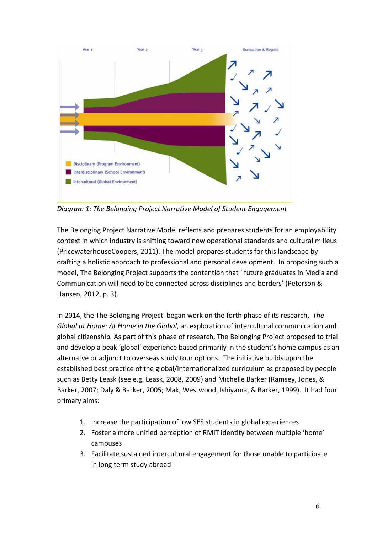

*Diagram 1: The Belonging Project Narrative Model of Student Engagement*

The Belonging Project Narrative Model reflects and prepares students for an employability context in which industry is shifting toward new operational standards and cultural milieus (PricewaterhouseCoopers, 2011). The model prepares students for this landscape by crafting a holistic approach to professional and personal development. In proposing such a model, The Belonging Project supports the contention that ' future graduates in Media and Communication will need to be connected across disciplines and borders' (Peterson & Hansen, 2012, p. 3).

In 2014, the The Belonging Project began work on the forth phase of its research, *The Global at Home:* At Home in the *Global*, an exploration of intercultural communication and global citizenship. As part of this phase of research, The Belonging Project proposed to trial and develop a peak 'global' experience based primarily in the student's home campus as an alternatve or adjunct to overseas study tour options. The initiative builds upon the established best practice of the global/internationalized curriculum as proposed by people such as Betty Leask (see e.g. Leask, 2008, 2009) and Michelle Barker (Ramsey, Jones, & Barker, 2007; Daly & Barker, 2005; Mak, Westwood, Ishiyama, & Barker, 1999). It had four primary aims:

- 1. Increase the participation of low SES students in global experiences
- 2. Foster a more unified perception of RMIT identity between multiple 'home' campuses
- 3. Facilitate sustained intercultural engagement for those unable to participate in long term study abroad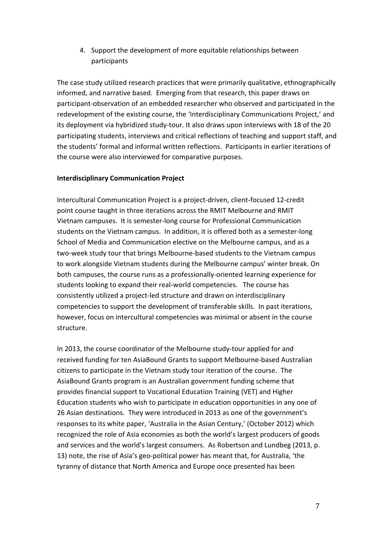# 4. Support the development of more equitable relationships between participants

The case study utilized research practices that were primarily qualitative, ethnographically informed, and narrative based. Emerging from that research, this paper draws on participant-observation of an embedded researcher who observed and participated in the redevelopment of the existing course, the 'Interdisciplinary Communications Project,' and its deployment via hybridized study-tour. It also draws upon interviews with 18 of the 20 participating students, interviews and critical reflections of teaching and support staff, and the students' formal and informal written reflections. Participants in earlier iterations of the course were also interviewed for comparative purposes.

## **Interdisciplinary Communication Project**

Intercultural Communication Project is a project-driven, client-focused 12-credit point course taught in three iterations across the RMIT Melbourne and RMIT Vietnam campuses. It is semester-long course for Professional Communication students on the Vietnam campus. In addition, it is offered both as a semester-long School of Media and Communication elective on the Melbourne campus, and as a two-week study tour that brings Melbourne-based students to the Vietnam campus to work alongside Vietnam students during the Melbourne campus' winter break. On both campuses, the course runs as a professionally-oriented learning experience for students looking to expand their real-world competencies. The course has consistently utilized a project-led structure and drawn on interdisciplinary competencies to support the development of transferable skills. In past iterations, however, focus on intercultural competencies was minimal or absent in the course structure.

In 2013, the course coordinator of the Melbourne study-tour applied for and received funding for ten AsiaBound Grants to support Melbourne-based Australian citizens to participate in the Vietnam study tour iteration of the course. The AsiaBound Grants program is an Australian government funding scheme that provides financial support to Vocational Education Training (VET) and Higher Education students who wish to participate in education opportunities in any one of 26 Asian destinations. They were introduced in 2013 as one of the government's responses to its white paper, 'Australia in the Asian Century,' (October 2012) which recognized the role of Asia economies as both the world's largest producers of goods and services and the world's largest consumers. As Robertson and Lundbeg (2013, p. 13) note, the rise of Asia's geo-political power has meant that, for Australia, 'the tyranny of distance that North America and Europe once presented has been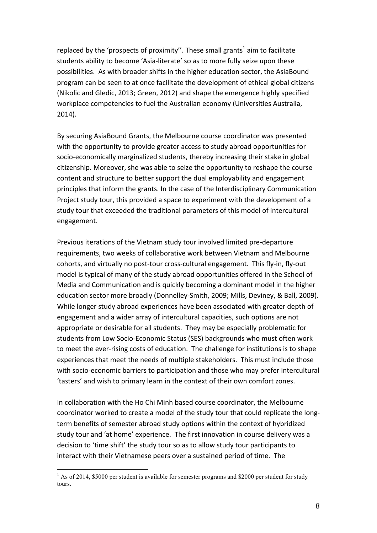replaced by the 'prospects of proximity''. These small grants<sup>1</sup> aim to facilitate students ability to become 'Asia-literate' so as to more fully seize upon these possibilities. As with broader shifts in the higher education sector, the AsiaBound program can be seen to at once facilitate the development of ethical global citizens (Nikolic and Gledic, 2013; Green, 2012) and shape the emergence highly specified workplace competencies to fuel the Australian economy (Universities Australia, 2014). 

By securing AsiaBound Grants, the Melbourne course coordinator was presented with the opportunity to provide greater access to study abroad opportunities for socio-economically marginalized students, thereby increasing their stake in global citizenship. Moreover, she was able to seize the opportunity to reshape the course content and structure to better support the dual employability and engagement principles that inform the grants. In the case of the Interdisciplinary Communication Project study tour, this provided a space to experiment with the development of a study tour that exceeded the traditional parameters of this model of intercultural engagement. 

Previous iterations of the Vietnam study tour involved limited pre-departure requirements, two weeks of collaborative work between Vietnam and Melbourne cohorts, and virtually no post-tour cross-cultural engagement. This fly-in, fly-out model is typical of many of the study abroad opportunities offered in the School of Media and Communication and is quickly becoming a dominant model in the higher education sector more broadly (Donnelley-Smith, 2009; Mills, Deviney, & Ball, 2009). While longer study abroad experiences have been associated with greater depth of engagement and a wider array of intercultural capacities, such options are not appropriate or desirable for all students. They may be especially problematic for students from Low Socio-Economic Status (SES) backgrounds who must often work to meet the ever-rising costs of education. The challenge for institutions is to shape experiences that meet the needs of multiple stakeholders. This must include those with socio-economic barriers to participation and those who may prefer intercultural 'tasters' and wish to primary learn in the context of their own comfort zones.

In collaboration with the Ho Chi Minh based course coordinator, the Melbourne coordinator worked to create a model of the study tour that could replicate the longterm benefits of semester abroad study options within the context of hybridized study tour and 'at home' experience. The first innovation in course delivery was a decision to 'time shift' the study tour so as to allow study tour participants to interact with their Vietnamese peers over a sustained period of time. The

<sup>&</sup>lt;sup>1</sup> As of 2014, \$5000 per student is available for semester programs and \$2000 per student for study tours.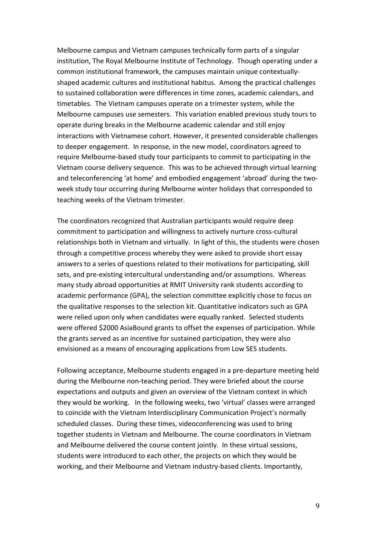Melbourne campus and Vietnam campuses technically form parts of a singular institution, The Royal Melbourne Institute of Technology. Though operating under a common institutional framework, the campuses maintain unique contextuallyshaped academic cultures and institutional habitus. Among the practical challenges to sustained collaboration were differences in time zones, academic calendars, and timetables. The Vietnam campuses operate on a trimester system, while the Melbourne campuses use semesters. This variation enabled previous study tours to operate during breaks in the Melbourne academic calendar and still enjoy interactions with Vietnamese cohort. However, it presented considerable challenges to deeper engagement. In response, in the new model, coordinators agreed to require Melbourne-based study tour participants to commit to participating in the Vietnam course delivery sequence. This was to be achieved through virtual learning and teleconferencing 'at home' and embodied engagement 'abroad' during the twoweek study tour occurring during Melbourne winter holidays that corresponded to teaching weeks of the Vietnam trimester.

The coordinators recognized that Australian participants would require deep commitment to participation and willingness to actively nurture cross-cultural relationships both in Vietnam and virtually. In light of this, the students were chosen through a competitive process whereby they were asked to provide short essay answers to a series of questions related to their motivations for participating, skill sets, and pre-existing intercultural understanding and/or assumptions. Whereas many study abroad opportunities at RMIT University rank students according to academic performance (GPA), the selection committee explicitly chose to focus on the qualitative responses to the selection kit. Quantitative indicators such as GPA were relied upon only when candidates were equally ranked. Selected students were offered \$2000 AsiaBound grants to offset the expenses of participation. While the grants served as an incentive for sustained participation, they were also envisioned as a means of encouraging applications from Low SES students.

Following acceptance, Melbourne students engaged in a pre-departure meeting held during the Melbourne non-teaching period. They were briefed about the course expectations and outputs and given an overview of the Vietnam context in which they would be working. In the following weeks, two 'virtual' classes were arranged to coincide with the Vietnam Interdisciplinary Communication Project's normally scheduled classes. During these times, videoconferencing was used to bring together students in Vietnam and Melbourne. The course coordinators in Vietnam and Melbourne delivered the course content jointly. In these virtual sessions, students were introduced to each other, the projects on which they would be working, and their Melbourne and Vietnam industry-based clients. Importantly,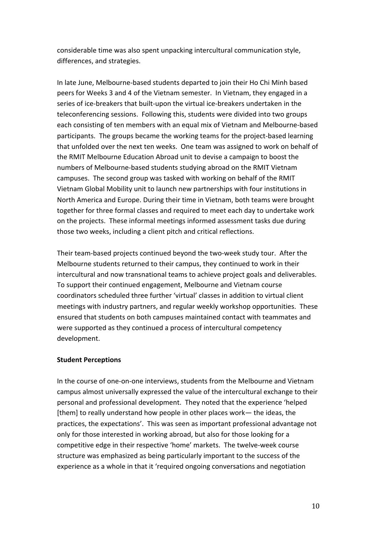considerable time was also spent unpacking intercultural communication style, differences, and strategies.

In late June, Melbourne-based students departed to join their Ho Chi Minh based peers for Weeks 3 and 4 of the Vietnam semester. In Vietnam, they engaged in a series of ice-breakers that built-upon the virtual ice-breakers undertaken in the teleconferencing sessions. Following this, students were divided into two groups each consisting of ten members with an equal mix of Vietnam and Melbourne-based participants. The groups became the working teams for the project-based learning that unfolded over the next ten weeks. One team was assigned to work on behalf of the RMIT Melbourne Education Abroad unit to devise a campaign to boost the numbers of Melbourne-based students studying abroad on the RMIT Vietnam campuses. The second group was tasked with working on behalf of the RMIT Vietnam Global Mobility unit to launch new partnerships with four institutions in North America and Europe. During their time in Vietnam, both teams were brought together for three formal classes and required to meet each day to undertake work on the projects. These informal meetings informed assessment tasks due during those two weeks, including a client pitch and critical reflections.

Their team-based projects continued beyond the two-week study tour. After the Melbourne students returned to their campus, they continued to work in their intercultural and now transnational teams to achieve project goals and deliverables. To support their continued engagement, Melbourne and Vietnam course coordinators scheduled three further 'virtual' classes in addition to virtual client meetings with industry partners, and regular weekly workshop opportunities. These ensured that students on both campuses maintained contact with teammates and were supported as they continued a process of intercultural competency development.

### **Student Perceptions**

In the course of one-on-one interviews, students from the Melbourne and Vietnam campus almost universally expressed the value of the intercultural exchange to their personal and professional development. They noted that the experience 'helped [them] to really understand how people in other places work— the ideas, the practices, the expectations'. This was seen as important professional advantage not only for those interested in working abroad, but also for those looking for a competitive edge in their respective 'home' markets. The twelve-week course structure was emphasized as being particularly important to the success of the experience as a whole in that it 'required ongoing conversations and negotiation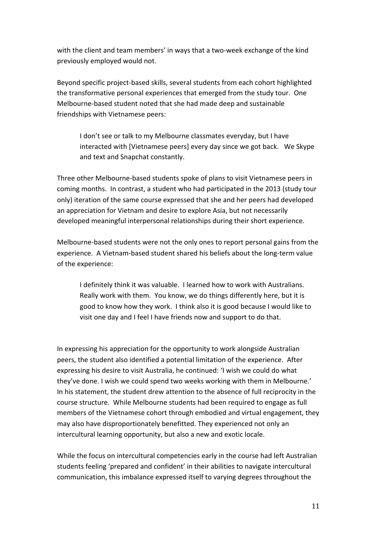with the client and team members' in ways that a two-week exchange of the kind previously employed would not.

Beyond specific project-based skills, several students from each cohort highlighted the transformative personal experiences that emerged from the study tour. One Melbourne-based student noted that she had made deep and sustainable friendships with Vietnamese peers:

I don't see or talk to my Melbourne classmates everyday, but I have interacted with [Vietnamese peers] every day since we got back. We Skype and text and Snapchat constantly.

Three other Melbourne-based students spoke of plans to visit Vietnamese peers in coming months. In contrast, a student who had participated in the 2013 (study tour only) iteration of the same course expressed that she and her peers had developed an appreciation for Vietnam and desire to explore Asia, but not necessarily developed meaningful interpersonal relationships during their short experience.

Melbourne-based students were not the only ones to report personal gains from the experience. A Vietnam-based student shared his beliefs about the long-term value of the experience:

I definitely think it was valuable. I learned how to work with Australians. Really work with them. You know, we do things differently here, but it is good to know how they work. I think also it is good because I would like to visit one day and I feel I have friends now and support to do that.

In expressing his appreciation for the opportunity to work alongside Australian peers, the student also identified a potential limitation of the experience. After expressing his desire to visit Australia, he continued: 'I wish we could do what they've done. I wish we could spend two weeks working with them in Melbourne.' In his statement, the student drew attention to the absence of full reciprocity in the course structure. While Melbourne students had been required to engage as full members of the Vietnamese cohort through embodied and virtual engagement, they may also have disproportionately benefitted. They experienced not only an intercultural learning opportunity, but also a new and exotic locale.

While the focus on intercultural competencies early in the course had left Australian students feeling 'prepared and confident' in their abilities to navigate intercultural communication, this imbalance expressed itself to varying degrees throughout the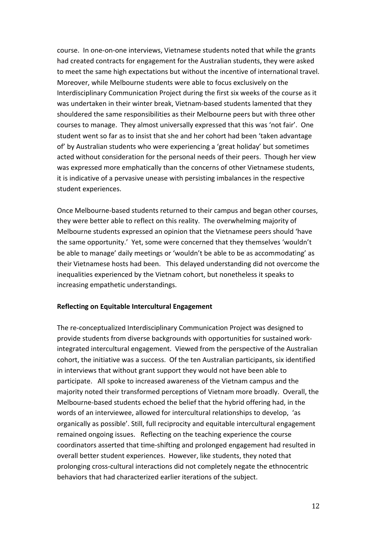course. In one-on-one interviews, Vietnamese students noted that while the grants had created contracts for engagement for the Australian students, they were asked to meet the same high expectations but without the incentive of international travel. Moreover, while Melbourne students were able to focus exclusively on the Interdisciplinary Communication Project during the first six weeks of the course as it was undertaken in their winter break, Vietnam-based students lamented that they shouldered the same responsibilities as their Melbourne peers but with three other courses to manage. They almost universally expressed that this was 'not fair'. One student went so far as to insist that she and her cohort had been 'taken advantage of' by Australian students who were experiencing a 'great holiday' but sometimes acted without consideration for the personal needs of their peers. Though her view was expressed more emphatically than the concerns of other Vietnamese students, it is indicative of a pervasive unease with persisting imbalances in the respective student experiences.

Once Melbourne-based students returned to their campus and began other courses, they were better able to reflect on this reality. The overwhelming majority of Melbourne students expressed an opinion that the Vietnamese peers should 'have the same opportunity.' Yet, some were concerned that they themselves 'wouldn't be able to manage' daily meetings or 'wouldn't be able to be as accommodating' as their Vietnamese hosts had been. This delayed understanding did not overcome the inequalities experienced by the Vietnam cohort, but nonetheless it speaks to increasing empathetic understandings.

### **Reflecting on Equitable Intercultural Engagement**

The re-conceptualized Interdisciplinary Communication Project was designed to provide students from diverse backgrounds with opportunities for sustained workintegrated intercultural engagement. Viewed from the perspective of the Australian cohort, the initiative was a success. Of the ten Australian participants, six identified in interviews that without grant support they would not have been able to participate. All spoke to increased awareness of the Vietnam campus and the majority noted their transformed perceptions of Vietnam more broadly. Overall, the Melbourne-based students echoed the belief that the hybrid offering had, in the words of an interviewee, allowed for intercultural relationships to develop, 'as organically as possible'. Still, full reciprocity and equitable intercultural engagement remained ongoing issues. Reflecting on the teaching experience the course coordinators asserted that time-shifting and prolonged engagement had resulted in overall better student experiences. However, like students, they noted that prolonging cross-cultural interactions did not completely negate the ethnocentric behaviors that had characterized earlier iterations of the subject.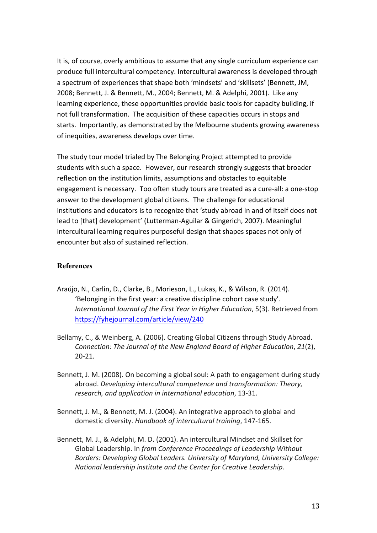It is, of course, overly ambitious to assume that any single curriculum experience can produce full intercultural competency. Intercultural awareness is developed through a spectrum of experiences that shape both 'mindsets' and 'skillsets' (Bennett, JM, 2008; Bennett, J. & Bennett, M., 2004; Bennett, M. & Adelphi, 2001). Like any learning experience, these opportunities provide basic tools for capacity building, if not full transformation. The acquisition of these capacities occurs in stops and starts. Importantly, as demonstrated by the Melbourne students growing awareness of inequities, awareness develops over time.

The study tour model trialed by The Belonging Project attempted to provide students with such a space. However, our research strongly suggests that broader reflection on the institution limits, assumptions and obstacles to equitable engagement is necessary. Too often study tours are treated as a cure-all: a one-stop answer to the development global citizens. The challenge for educational institutions and educators is to recognize that 'study abroad in and of itself does not lead to [that] development' (Lutterman-Aguilar & Gingerich, 2007). Meaningful intercultural learning requires purposeful design that shapes spaces not only of encounter but also of sustained reflection.

## **References**

- Araújo, N., Carlin, D., Clarke, B., Morieson, L., Lukas, K., & Wilson, R. (2014). 'Belonging in the first year: a creative discipline cohort case study'. *International Journal of the First Year in Higher Education,* 5(3). Retrieved from https://fyhejournal.com/article/view/240
- Bellamy, C., & Weinberg, A. (2006). Creating Global Citizens through Study Abroad. *Connection: The Journal of the New England Board of Higher Education, 21(2),* 20-21.
- Bennett, J. M. (2008). On becoming a global soul: A path to engagement during study abroad. Developing intercultural competence and transformation: Theory, *research, and application in international education*, 13-31.
- Bennett, J. M., & Bennett, M. J. (2004). An integrative approach to global and domestic diversity. *Handbook of intercultural training*, 147-165.
- Bennett, M. J., & Adelphi, M. D. (2001). An intercultural Mindset and Skillset for Global Leadership. In *from Conference Proceedings of Leadership Without* Borders: Developing Global Leaders. University of Maryland, University College: *National leadership institute and the Center for Creative Leadership.*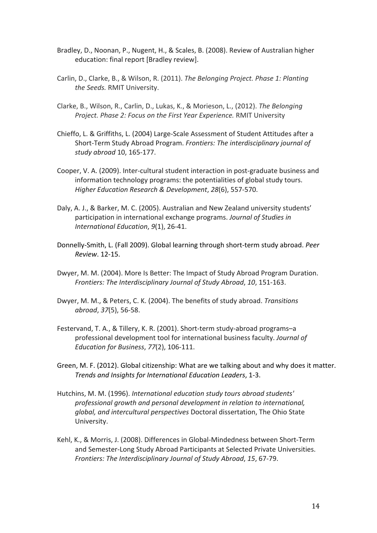- Bradley, D., Noonan, P., Nugent, H., & Scales, B. (2008). Review of Australian higher education: final report [Bradley review].
- Carlin, D., Clarke, B., & Wilson, R. (2011). *The Belonging Project. Phase 1: Planting* the Seeds. RMIT University.
- Clarke, B., Wilson, R., Carlin, D., Lukas, K., & Morieson, L., (2012). *The Belonging Project. Phase 2: Focus on the First Year Experience.* RMIT University
- Chieffo, L. & Griffiths, L. (2004) Large-Scale Assessment of Student Attitudes after a Short-Term Study Abroad Program. Frontiers: The interdisciplinary journal of *study abroad* 10, 165-177.
- Cooper, V. A. (2009). Inter-cultural student interaction in post-graduate business and information technology programs: the potentialities of global study tours. *Higher Education Research & Development*, *28*(6), 557-570.
- Daly, A. J., & Barker, M. C. (2005). Australian and New Zealand university students' participation in international exchange programs. Journal of Studies in *International Education*,  $9(1)$ , 26-41.
- Donnelly-Smith, L. (Fall 2009). Global learning through short-term study abroad. Peer *Review*. 12-15.
- Dwyer, M. M. (2004). More Is Better: The Impact of Study Abroad Program Duration. *Frontiers: The Interdisciplinary Journal of Study Abroad, 10, 151-163.*
- Dwyer, M. M., & Peters, C. K. (2004). The benefits of study abroad. *Transitions abroad*, *37*(5), 56-58.
- Festervand, T. A., & Tillery, K. R. (2001). Short-term study-abroad programs-a professional development tool for international business faculty. *Journal of Education for Business*, *77*(2), 106-111.
- Green, M. F. (2012). Global citizenship: What are we talking about and why does it matter. *Trends and Insights for International Education Leaders*, 1-3.
- Hutchins, M. M. (1996). *International education study tours abroad students'* professional growth and personal development in relation to international, *global, and intercultural perspectives* Doctoral dissertation, The Ohio State University.
- Kehl, K., & Morris, J. (2008). Differences in Global-Mindedness between Short-Term and Semester-Long Study Abroad Participants at Selected Private Universities. *Frontiers: The Interdisciplinary Journal of Study Abroad, 15, 67-79.*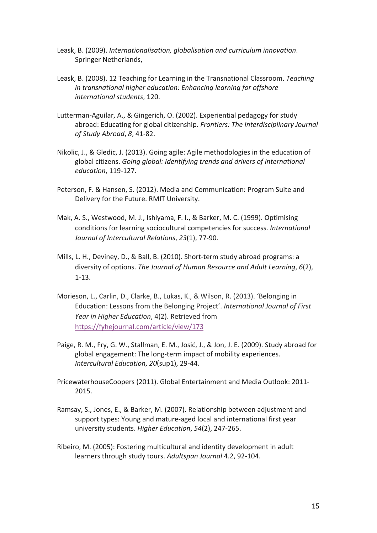- Leask, B. (2009). *Internationalisation, globalisation and curriculum innovation*. Springer Netherlands,
- Leask, B. (2008). 12 Teaching for Learning in the Transnational Classroom. *Teaching in transnational higher education:* Enhancing learning for offshore *international students*, 120.
- Lutterman-Aguilar, A., & Gingerich, O. (2002). Experiential pedagogy for study abroad: Educating for global citizenship. Frontiers: The Interdisciplinary Journal *of Study Abroad*, *8*, 41-82.
- Nikolic, J., & Gledic, J. (2013). Going agile: Agile methodologies in the education of global citizens. Going global: Identifying trends and drivers of international *education*, 119-127.
- Peterson, F. & Hansen, S. (2012). Media and Communication: Program Suite and Delivery for the Future. RMIT University.
- Mak, A. S., Westwood, M. J., Ishiyama, F. I., & Barker, M. C. (1999). Optimising conditions for learning sociocultural competencies for success. *International Journal of Intercultural Relations*, *23*(1), 77-90.
- Mills, L. H., Deviney, D., & Ball, B. (2010). Short-term study abroad programs: a diversity of options. *The Journal of Human Resource and Adult Learning, 6*(2), 1-13.
- Morieson, L., Carlin, D., Clarke, B., Lukas, K., & Wilson, R. (2013). 'Belonging in Education: Lessons from the Belonging Project'. *International Journal of First* Year in Higher Education, 4(2). Retrieved from https://fyhejournal.com/article/view/173
- Paige, R. M., Fry, G. W., Stallman, E. M., Josić, J., & Jon, J. E. (2009). Study abroad for global engagement: The long-term impact of mobility experiences. *Intercultural Education, 20(sup1), 29-44.*
- PricewaterhouseCoopers (2011). Global Entertainment and Media Outlook: 2011-2015.
- Ramsay, S., Jones, E., & Barker, M. (2007). Relationship between adjustment and support types: Young and mature-aged local and international first year university students. *Higher Education*, *54*(2), 247-265.
- Ribeiro, M. (2005): Fostering multicultural and identity development in adult learners through study tours. Adultspan Journal 4.2, 92-104.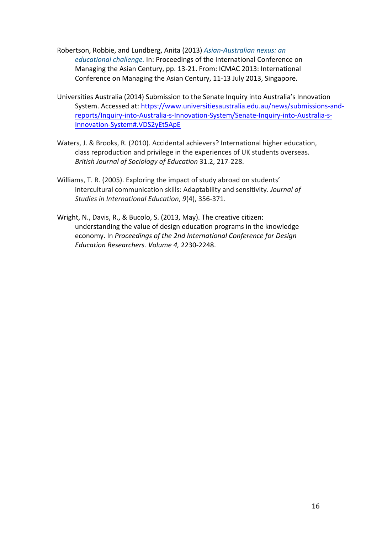- Robertson, Robbie, and Lundberg, Anita (2013) *Asian-Australian nexus: an* educational challenge. In: Proceedings of the International Conference on Managing the Asian Century, pp. 13-21. From: ICMAC 2013: International Conference on Managing the Asian Century, 11-13 July 2013, Singapore.
- Universities Australia (2014) Submission to the Senate Inquiry into Australia's Innovation System. Accessed at: https://www.universitiesaustralia.edu.au/news/submissions-andreports/Inquiry-into-Australia-s-Innovation-System/Senate-Inquiry-into-Australia-s-Innovation-System#.VDS2yEt5ApE
- Waters, J. & Brooks, R. (2010). Accidental achievers? International higher education, class reproduction and privilege in the experiences of UK students overseas. *British Journal of Sociology of Education* 31.2, 217-228.
- Williams, T. R. (2005). Exploring the impact of study abroad on students' intercultural communication skills: Adaptability and sensitivity. *Journal of Studies in International Education, 9(4), 356-371.*
- Wright, N., Davis, R., & Bucolo, S. (2013, May). The creative citizen: understanding the value of design education programs in the knowledge economy. In *Proceedings of the 2nd International Conference for Design Education Researchers. Volume 4,* 2230-2248.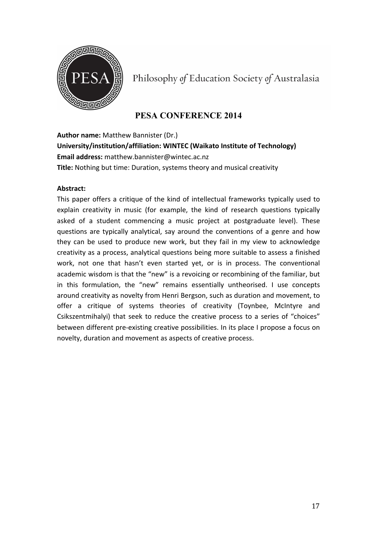

Philosophy of Education Society of Australasia

# **PESA CONFERENCE 2014**

**Author name:** Matthew Bannister (Dr.)

**University/institution/affiliation: WINTEC (Waikato Institute of Technology) Email address:** matthew.bannister@wintec.ac.nz **Title:** Nothing but time: Duration, systems theory and musical creativity

## **Abstract:**

This paper offers a critique of the kind of intellectual frameworks typically used to explain creativity in music (for example, the kind of research questions typically asked of a student commencing a music project at postgraduate level). These questions are typically analytical, say around the conventions of a genre and how they can be used to produce new work, but they fail in my view to acknowledge creativity as a process, analytical questions being more suitable to assess a finished work, not one that hasn't even started yet, or is in process. The conventional academic wisdom is that the "new" is a revoicing or recombining of the familiar, but in this formulation, the "new" remains essentially untheorised. I use concepts around creativity as novelty from Henri Bergson, such as duration and movement, to offer a critique of systems theories of creativity (Toynbee, McIntyre and Csikszentmihalyi) that seek to reduce the creative process to a series of "choices" between different pre-existing creative possibilities. In its place I propose a focus on novelty, duration and movement as aspects of creative process.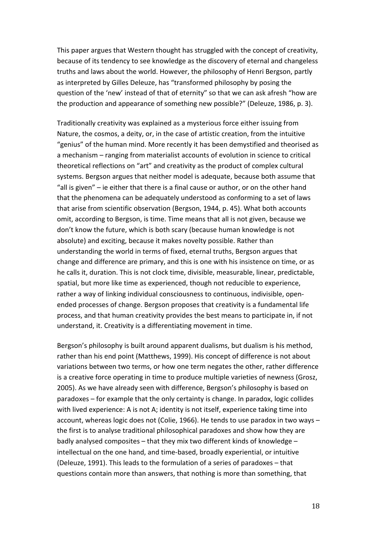This paper argues that Western thought has struggled with the concept of creativity, because of its tendency to see knowledge as the discovery of eternal and changeless truths and laws about the world. However, the philosophy of Henri Bergson, partly as interpreted by Gilles Deleuze, has "transformed philosophy by posing the question of the 'new' instead of that of eternity" so that we can ask afresh "how are the production and appearance of something new possible?" (Deleuze, 1986, p. 3).

Traditionally creativity was explained as a mysterious force either issuing from Nature, the cosmos, a deity, or, in the case of artistic creation, from the intuitive "genius" of the human mind. More recently it has been demystified and theorised as a mechanism – ranging from materialist accounts of evolution in science to critical theoretical reflections on "art" and creativity as the product of complex cultural systems. Bergson argues that neither model is adequate, because both assume that "all is given"  $-$  ie either that there is a final cause or author, or on the other hand that the phenomena can be adequately understood as conforming to a set of laws that arise from scientific observation (Bergson, 1944, p. 45). What both accounts omit, according to Bergson, is time. Time means that all is not given, because we don't know the future, which is both scary (because human knowledge is not absolute) and exciting, because it makes novelty possible. Rather than understanding the world in terms of fixed, eternal truths, Bergson argues that change and difference are primary, and this is one with his insistence on time, or as he calls it, duration. This is not clock time, divisible, measurable, linear, predictable, spatial, but more like time as experienced, though not reducible to experience, rather a way of linking individual consciousness to continuous, indivisible, openended processes of change. Bergson proposes that creativity is a fundamental life process, and that human creativity provides the best means to participate in, if not understand, it. Creativity is a differentiating movement in time.

Bergson's philosophy is built around apparent dualisms, but dualism is his method, rather than his end point (Matthews, 1999). His concept of difference is not about variations between two terms, or how one term negates the other, rather difference is a creative force operating in time to produce multiple varieties of newness (Grosz, 2005). As we have already seen with difference, Bergson's philosophy is based on paradoxes – for example that the only certainty is change. In paradox, logic collides with lived experience: A is not A; identity is not itself, experience taking time into account, whereas logic does not (Colie, 1966). He tends to use paradox in two ways  $$ the first is to analyse traditional philosophical paradoxes and show how they are badly analysed composites  $-$  that they mix two different kinds of knowledge  $$ intellectual on the one hand, and time-based, broadly experiential, or intuitive (Deleuze, 1991). This leads to the formulation of a series of paradoxes - that questions contain more than answers, that nothing is more than something, that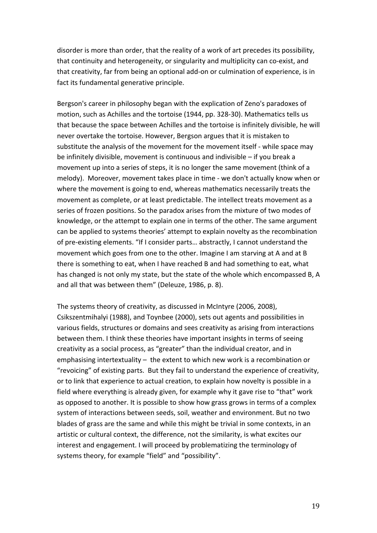disorder is more than order, that the reality of a work of art precedes its possibility, that continuity and heterogeneity, or singularity and multiplicity can co-exist, and that creativity, far from being an optional add-on or culmination of experience, is in fact its fundamental generative principle.

Bergson's career in philosophy began with the explication of Zeno's paradoxes of motion, such as Achilles and the tortoise (1944, pp. 328-30). Mathematics tells us that because the space between Achilles and the tortoise is infinitely divisible, he will never overtake the tortoise. However, Bergson argues that it is mistaken to substitute the analysis of the movement for the movement itself - while space may be infinitely divisible, movement is continuous and indivisible  $-$  if you break a movement up into a series of steps, it is no longer the same movement (think of a melody). Moreover, movement takes place in time - we don't actually know when or where the movement is going to end, whereas mathematics necessarily treats the movement as complete, or at least predictable. The intellect treats movement as a series of frozen positions. So the paradox arises from the mixture of two modes of knowledge, or the attempt to explain one in terms of the other. The same argument can be applied to systems theories' attempt to explain novelty as the recombination of pre-existing elements. "If I consider parts... abstractly, I cannot understand the movement which goes from one to the other. Imagine I am starving at A and at B there is something to eat, when I have reached B and had something to eat, what has changed is not only my state, but the state of the whole which encompassed B, A and all that was between them" (Deleuze, 1986, p. 8).

The systems theory of creativity, as discussed in McIntyre (2006, 2008), Csikszentmihalyi (1988), and Toynbee (2000), sets out agents and possibilities in various fields, structures or domains and sees creativity as arising from interactions between them. I think these theories have important insights in terms of seeing creativity as a social process, as "greater" than the individual creator, and in emphasising intertextuality  $-$  the extent to which new work is a recombination or "revoicing" of existing parts. But they fail to understand the experience of creativity, or to link that experience to actual creation, to explain how novelty is possible in a field where everything is already given, for example why it gave rise to "that" work as opposed to another. It is possible to show how grass grows in terms of a complex system of interactions between seeds, soil, weather and environment. But no two blades of grass are the same and while this might be trivial in some contexts, in an artistic or cultural context, the difference, not the similarity, is what excites our interest and engagement. I will proceed by problematizing the terminology of systems theory, for example "field" and "possibility".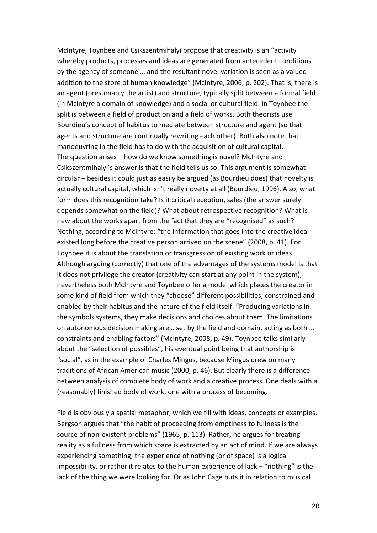McIntyre, Toynbee and Csikszentmihalyi propose that creativity is an "activity whereby products, processes and ideas are generated from antecedent conditions by the agency of someone ... and the resultant novel variation is seen as a valued addition to the store of human knowledge" (McIntyre, 2006, p. 202). That is, there is an agent (presumably the artist) and structure, typically split between a formal field (in McIntyre a domain of knowledge) and a social or cultural field. In Toynbee the split is between a field of production and a field of works. Both theorists use Bourdieu's concept of habitus to mediate between structure and agent (so that agents and structure are continually rewriting each other). Both also note that manoeuvring in the field has to do with the acquisition of cultural capital. The question arises  $-$  how do we know something is novel? McIntyre and Csikszentmihalyi's answer is that the field tells us so. This argument is somewhat circular – besides it could just as easily be argued (as Bourdieu does) that novelty is actually cultural capital, which isn't really novelty at all (Bourdieu, 1996). Also, what form does this recognition take? Is it critical reception, sales (the answer surely depends somewhat on the field)? What about retrospective recognition? What is new about the works apart from the fact that they are "recognised" as such? Nothing, according to McIntyre: "the information that goes into the creative idea existed long before the creative person arrived on the scene" (2008, p. 41). For Toynbee it is about the translation or transgression of existing work or ideas. Although arguing (correctly) that one of the advantages of the systems model is that it does not privilege the creator (creativity can start at any point in the system), nevertheless both McIntyre and Toynbee offer a model which places the creator in some kind of field from which they "choose" different possibilities, constrained and enabled by their habitus and the nature of the field itself. "Producing variations in the symbols systems, they make decisions and choices about them. The limitations on autonomous decision making are... set by the field and domain, acting as both ... constraints and enabling factors" (McIntyre, 2008, p. 49). Toynbee talks similarly about the "selection of possibles", his eventual point being that authorship is "social", as in the example of Charles Mingus, because Mingus drew on many traditions of African American music (2000, p. 46). But clearly there is a difference between analysis of complete body of work and a creative process. One deals with a (reasonably) finished body of work, one with a process of becoming.

Field is obviously a spatial metaphor, which we fill with ideas, concepts or examples. Bergson argues that "the habit of proceeding from emptiness to fullness is the source of non-existent problems" (1965, p. 113). Rather, he argues for treating reality as a fullness from which space is extracted by an act of mind. If we are always experiencing something, the experience of nothing (or of space) is a logical impossibility, or rather it relates to the human experience of lack  $-$  "nothing" is the lack of the thing we were looking for. Or as John Cage puts it in relation to musical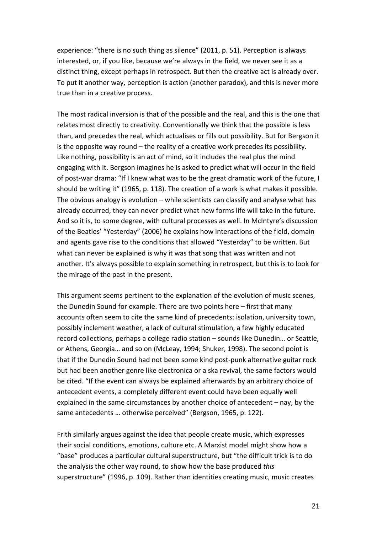experience: "there is no such thing as silence"  $(2011, p. 51)$ . Perception is always interested, or, if you like, because we're always in the field, we never see it as a distinct thing, except perhaps in retrospect. But then the creative act is already over. To put it another way, perception is action (another paradox), and this is never more true than in a creative process.

The most radical inversion is that of the possible and the real, and this is the one that relates most directly to creativity. Conventionally we think that the possible is less than, and precedes the real, which actualises or fills out possibility. But for Bergson it is the opposite way round  $-$  the reality of a creative work precedes its possibility. Like nothing, possibility is an act of mind, so it includes the real plus the mind engaging with it. Bergson imagines he is asked to predict what will occur in the field of post-war drama: "If I knew what was to be the great dramatic work of the future, I should be writing it" (1965, p. 118). The creation of a work is what makes it possible. The obvious analogy is evolution – while scientists can classify and analyse what has already occurred, they can never predict what new forms life will take in the future. And so it is, to some degree, with cultural processes as well. In McIntyre's discussion of the Beatles' "Yesterday" (2006) he explains how interactions of the field, domain and agents gave rise to the conditions that allowed "Yesterday" to be written. But what can never be explained is why it was that song that was written and not another. It's always possible to explain something in retrospect, but this is to look for the mirage of the past in the present.

This argument seems pertinent to the explanation of the evolution of music scenes, the Dunedin Sound for example. There are two points here – first that many accounts often seem to cite the same kind of precedents: isolation, university town, possibly inclement weather, a lack of cultural stimulation, a few highly educated record collections, perhaps a college radio station – sounds like Dunedin... or Seattle, or Athens, Georgia... and so on (McLeay, 1994; Shuker, 1998). The second point is that if the Dunedin Sound had not been some kind post-punk alternative guitar rock but had been another genre like electronica or a ska revival, the same factors would be cited. "If the event can always be explained afterwards by an arbitrary choice of antecedent events, a completely different event could have been equally well explained in the same circumstances by another choice of antecedent  $-$  nay, by the same antecedents ... otherwise perceived" (Bergson, 1965, p. 122).

Frith similarly argues against the idea that people create music, which expresses their social conditions, emotions, culture etc. A Marxist model might show how a "base" produces a particular cultural superstructure, but "the difficult trick is to do the analysis the other way round, to show how the base produced this superstructure" (1996, p. 109). Rather than identities creating music, music creates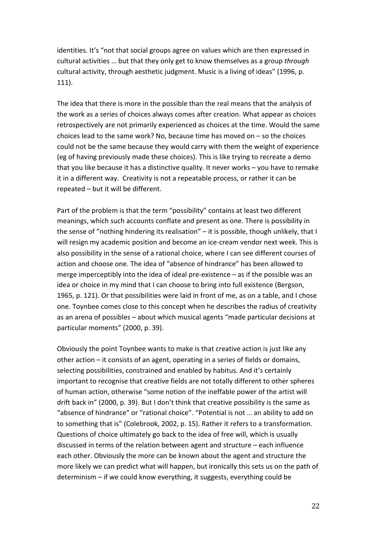identities. It's "not that social groups agree on values which are then expressed in cultural activities ... but that they only get to know themselves as a group *through* cultural activity, through aesthetic judgment. Music is a living of ideas" (1996, p. 111).

The idea that there is more in the possible than the real means that the analysis of the work as a series of choices always comes after creation. What appear as choices retrospectively are not primarily experienced as choices at the time. Would the same choices lead to the same work? No, because time has moved on  $-$  so the choices could not be the same because they would carry with them the weight of experience (eg of having previously made these choices). This is like trying to recreate a demo that you like because it has a distinctive quality. It never works  $-$  you have to remake it in a different way. Creativity is not a repeatable process, or rather it can be  $repeated - but it will be different.$ 

Part of the problem is that the term "possibility" contains at least two different meanings, which such accounts conflate and present as one. There is possibility in the sense of "nothing hindering its realisation"  $-$  it is possible, though unlikely, that I will resign my academic position and become an ice-cream vendor next week. This is also possibility in the sense of a rational choice, where I can see different courses of action and choose one. The idea of "absence of hindrance" has been allowed to merge imperceptibly into the idea of ideal pre-existence  $-$  as if the possible was an idea or choice in my mind that I can choose to bring into full existence (Bergson, 1965, p. 121). Or that possibilities were laid in front of me, as on a table, and I chose one. Toynbee comes close to this concept when he describes the radius of creativity as an arena of possibles – about which musical agents "made particular decisions at particular moments" (2000, p. 39).

Obviously the point Toynbee wants to make is that creative action is just like any other action  $-$  it consists of an agent, operating in a series of fields or domains, selecting possibilities, constrained and enabled by habitus. And it's certainly important to recognise that creative fields are not totally different to other spheres of human action, otherwise "some notion of the ineffable power of the artist will drift back in" (2000, p. 39). But I don't think that creative possibility is the same as "absence of hindrance" or "rational choice". "Potential is not ... an ability to add on to something that is" (Colebrook, 2002, p. 15). Rather it refers to a transformation. Questions of choice ultimately go back to the idea of free will, which is usually discussed in terms of the relation between agent and structure  $-$  each influence each other. Obviously the more can be known about the agent and structure the more likely we can predict what will happen, but ironically this sets us on the path of determinism – if we could know everything, it suggests, everything could be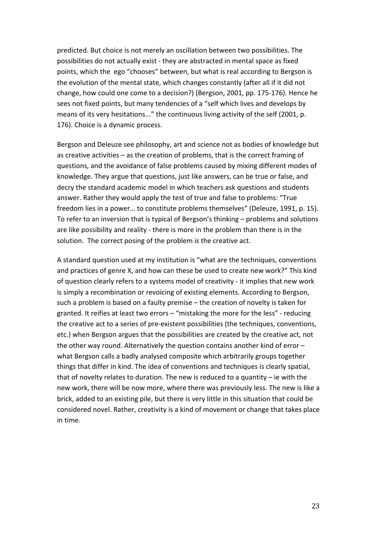predicted. But choice is not merely an oscillation between two possibilities. The possibilities do not actually exist - they are abstracted in mental space as fixed points, which the ego "chooses" between, but what is real according to Bergson is the evolution of the mental state, which changes constantly (after all if it did not change, how could one come to a decision?) (Bergson, 2001, pp. 175-176). Hence he sees not fixed points, but many tendencies of a "self which lives and develops by means of its very hesitations..." the continuous living activity of the self (2001, p. 176). Choice is a dynamic process.

Bergson and Deleuze see philosophy, art and science not as bodies of knowledge but as creative activities  $-$  as the creation of problems, that is the correct framing of questions, and the avoidance of false problems caused by mixing different modes of knowledge. They argue that questions, just like answers, can be true or false, and decry the standard academic model in which teachers ask questions and students answer. Rather they would apply the test of true and false to problems: "True freedom lies in a power... to constitute problems themselves" (Deleuze, 1991, p. 15). To refer to an inversion that is typical of Bergson's thinking – problems and solutions are like possibility and reality - there is more in the problem than there is in the solution. The correct posing of the problem *is* the creative act.

A standard question used at my institution is "what are the techniques, conventions and practices of genre X, and how can these be used to create new work?" This kind of question clearly refers to a systems model of creativity - it implies that new work is simply a recombination or revoicing of existing elements. According to Bergson, such a problem is based on a faulty premise  $-$  the creation of novelty is taken for granted. It reifies at least two errors - "mistaking the more for the less" - reducing the creative act to a series of pre-existent possibilities (the techniques, conventions, etc.) when Bergson argues that the possibilities are created by the creative act, not the other way round. Alternatively the question contains another kind of error  $$ what Bergson calls a badly analysed composite which arbitrarily groups together things that differ in kind. The idea of conventions and techniques is clearly spatial, that of novelty relates to duration. The new is reduced to a quantity  $-$  ie with the new work, there will be now more, where there was previously less. The new is like a brick, added to an existing pile, but there is very little in this situation that could be considered novel. Rather, creativity is a kind of movement or change that takes place in time.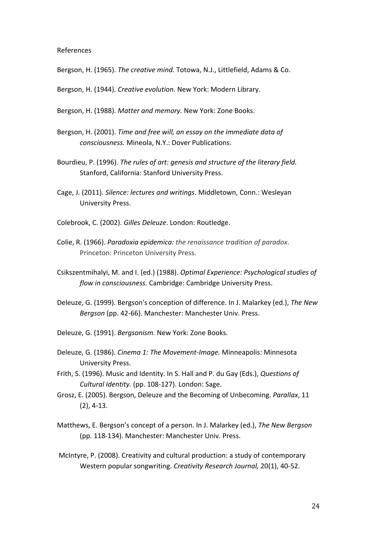#### References

Bergson, H. (1965). The creative mind. Totowa, N.J., Littlefield, Adams & Co.

Bergson, H. (1944). *Creative evolution*. New York: Modern Library.

Bergson, H. (1988). Matter and memory. New York: Zone Books.

- Bergson, H. (2001). *Time and free will, an essay on the immediate data of consciousness.* Mineola, N.Y.: Dover Publications.
- Bourdieu, P. (1996). *The rules of art: genesis and structure of the literary field.* Stanford, California: Stanford University Press.
- Cage, J. (2011). *Silence: lectures and writings*. Middletown, Conn.: Wesleyan University Press.
- Colebrook, C. (2002). Gilles Deleuze. London: Routledge.
- Colie, R. (1966). *Paradoxia epidemica:* the renaissance tradition of paradox. Princeton: Princeton University Press.
- Csikszentmihalyi, M. and I. (ed.) (1988). *Optimal Experience: Psychological studies of* flow in consciousness. Cambridge: Cambridge University Press.
- Deleuze, G. (1999). Bergson's conception of difference. In J. Malarkey (ed.), *The New Bergson* (pp. 42-66). Manchester: Manchester Univ. Press.
- Deleuze, G. (1991). *Bergsonism*. New York: Zone Books.
- Deleuze, G. (1986). *Cinema 1: The Movement-Image*. Minneapolis: Minnesota University Press.
- Frith, S. (1996). Music and Identity. In S. Hall and P. du Gay (Eds.), *Questions of Cultural Identity.* (pp. 108-127). London: Sage.
- Grosz, E. (2005). Bergson, Deleuze and the Becoming of Unbecoming. *Parallax*, 11  $(2)$ , 4-13.
- Matthews, E. Bergson's concept of a person. In J. Malarkey (ed.), The New Bergson (pp. 118-134). Manchester: Manchester Univ. Press.
- McIntyre, P. (2008). Creativity and cultural production: a study of contemporary Western popular songwriting. *Creativity Research Journal*, 20(1), 40-52.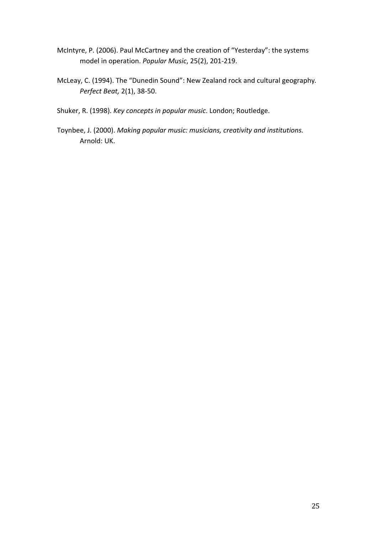- McIntyre, P. (2006). Paul McCartney and the creation of "Yesterday": the systems model in operation. *Popular Music*, 25(2), 201-219.
- McLeay, C. (1994). The "Dunedin Sound": New Zealand rock and cultural geography. *Perfect Beat,* 2(1), 38-50.
- Shuker, R. (1998). *Key concepts in popular music*. London; Routledge.
- Toynbee, J. (2000). *Making popular music: musicians, creativity and institutions.* Arnold: UK.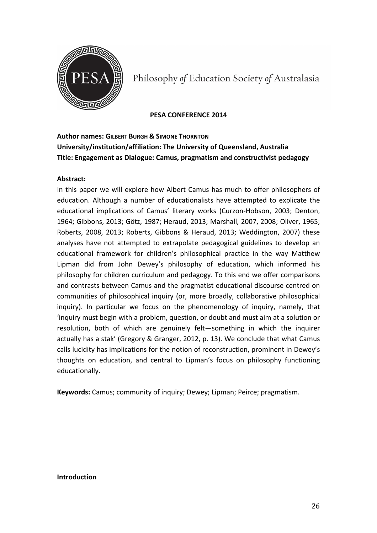

Philosophy of Education Society of Australasia

### **PESA CONFERENCE 2014**

# **Author names: GILBERT BURGH & SIMONE THORNTON University/institution/affiliation: The University of Queensland, Australia Title: Engagement as Dialogue: Camus, pragmatism and constructivist pedagogy**

## **Abstract:**

In this paper we will explore how Albert Camus has much to offer philosophers of education. Although a number of educationalists have attempted to explicate the educational implications of Camus' literary works (Curzon-Hobson, 2003; Denton, 1964; Gibbons, 2013; Götz, 1987; Heraud, 2013; Marshall, 2007, 2008; Oliver, 1965; Roberts, 2008, 2013; Roberts, Gibbons & Heraud, 2013; Weddington, 2007) these analyses have not attempted to extrapolate pedagogical guidelines to develop an educational framework for children's philosophical practice in the way Matthew Lipman did from John Dewey's philosophy of education, which informed his philosophy for children curriculum and pedagogy. To this end we offer comparisons and contrasts between Camus and the pragmatist educational discourse centred on communities of philosophical inquiry (or, more broadly, collaborative philosophical inquiry). In particular we focus on the phenomenology of inquiry, namely, that 'inquiry must begin with a problem, question, or doubt and must aim at a solution or resolution, both of which are genuinely felt-something in which the inquirer actually has a stak' (Gregory & Granger, 2012, p. 13). We conclude that what Camus calls lucidity has implications for the notion of reconstruction, prominent in Dewey's thoughts on education, and central to Lipman's focus on philosophy functioning educationally.

**Keywords:** Camus; community of inquiry; Dewey; Lipman; Peirce; pragmatism.

### **Introduction**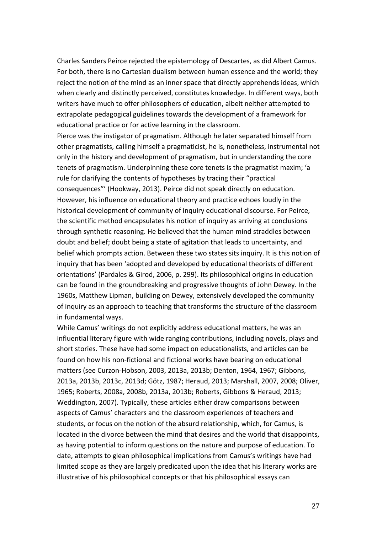Charles Sanders Peirce rejected the epistemology of Descartes, as did Albert Camus. For both, there is no Cartesian dualism between human essence and the world; they reject the notion of the mind as an inner space that directly apprehends ideas, which when clearly and distinctly perceived, constitutes knowledge. In different ways, both writers have much to offer philosophers of education, albeit neither attempted to extrapolate pedagogical guidelines towards the development of a framework for educational practice or for active learning in the classroom.

Pierce was the instigator of pragmatism. Although he later separated himself from other pragmatists, calling himself a pragmaticist, he is, nonetheless, instrumental not only in the history and development of pragmatism, but in understanding the core tenets of pragmatism. Underpinning these core tenets is the pragmatist maxim; 'a rule for clarifying the contents of hypotheses by tracing their "practical consequences"' (Hookway, 2013). Peirce did not speak directly on education. However, his influence on educational theory and practice echoes loudly in the historical development of community of inquiry educational discourse. For Peirce, the scientific method encapsulates his notion of inquiry as arriving at conclusions through synthetic reasoning. He believed that the human mind straddles between doubt and belief; doubt being a state of agitation that leads to uncertainty, and belief which prompts action. Between these two states sits inquiry. It is this notion of inquiry that has been 'adopted and developed by educational theorists of different orientations' (Pardales & Girod, 2006, p. 299). Its philosophical origins in education can be found in the groundbreaking and progressive thoughts of John Dewey. In the 1960s, Matthew Lipman, building on Dewey, extensively developed the community of inquiry as an approach to teaching that transforms the structure of the classroom in fundamental ways.

While Camus' writings do not explicitly address educational matters, he was an influential literary figure with wide ranging contributions, including novels, plays and short stories. These have had some impact on educationalists, and articles can be found on how his non-fictional and fictional works have bearing on educational matters (see Curzon-Hobson, 2003, 2013a, 2013b; Denton, 1964, 1967; Gibbons, 2013a, 2013b, 2013c, 2013d; Götz, 1987; Heraud, 2013; Marshall, 2007, 2008; Oliver, 1965; Roberts, 2008a, 2008b, 2013a, 2013b; Roberts, Gibbons & Heraud, 2013; Weddington, 2007). Typically, these articles either draw comparisons between aspects of Camus' characters and the classroom experiences of teachers and students, or focus on the notion of the absurd relationship, which, for Camus, is located in the divorce between the mind that desires and the world that disappoints, as having potential to inform questions on the nature and purpose of education. To date, attempts to glean philosophical implications from Camus's writings have had limited scope as they are largely predicated upon the idea that his literary works are illustrative of his philosophical concepts or that his philosophical essays can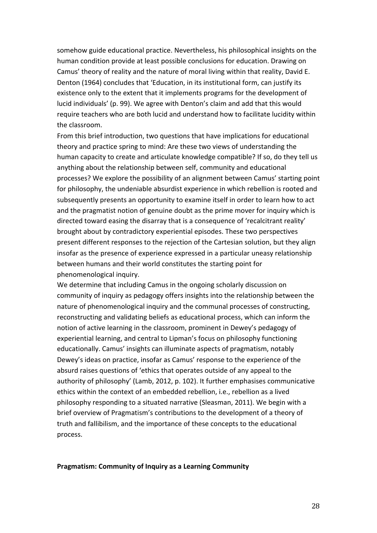somehow guide educational practice. Nevertheless, his philosophical insights on the human condition provide at least possible conclusions for education. Drawing on Camus' theory of reality and the nature of moral living within that reality, David E. Denton (1964) concludes that 'Education, in its institutional form, can justify its existence only to the extent that it implements programs for the development of lucid individuals' (p. 99). We agree with Denton's claim and add that this would require teachers who are both lucid and understand how to facilitate lucidity within the classroom.

From this brief introduction, two questions that have implications for educational theory and practice spring to mind: Are these two views of understanding the human capacity to create and articulate knowledge compatible? If so, do they tell us anything about the relationship between self, community and educational processes? We explore the possibility of an alignment between Camus' starting point for philosophy, the undeniable absurdist experience in which rebellion is rooted and subsequently presents an opportunity to examine itself in order to learn how to act and the pragmatist notion of genuine doubt as the prime mover for inquiry which is directed toward easing the disarray that is a consequence of 'recalcitrant reality' brought about by contradictory experiential episodes. These two perspectives present different responses to the rejection of the Cartesian solution, but they align insofar as the presence of experience expressed in a particular uneasy relationship between humans and their world constitutes the starting point for phenomenological inquiry.

We determine that including Camus in the ongoing scholarly discussion on community of inquiry as pedagogy offers insights into the relationship between the nature of phenomenological inquiry and the communal processes of constructing, reconstructing and validating beliefs as educational process, which can inform the notion of active learning in the classroom, prominent in Dewey's pedagogy of experiential learning, and central to Lipman's focus on philosophy functioning educationally. Camus' insights can illuminate aspects of pragmatism, notably Dewey's ideas on practice, insofar as Camus' response to the experience of the absurd raises questions of 'ethics that operates outside of any appeal to the authority of philosophy' (Lamb, 2012, p. 102). It further emphasises communicative ethics within the context of an embedded rebellion, i.e., rebellion as a lived philosophy responding to a situated narrative (Sleasman, 2011). We begin with a brief overview of Pragmatism's contributions to the development of a theory of truth and fallibilism, and the importance of these concepts to the educational process.

#### **Pragmatism: Community of Inquiry as a Learning Community**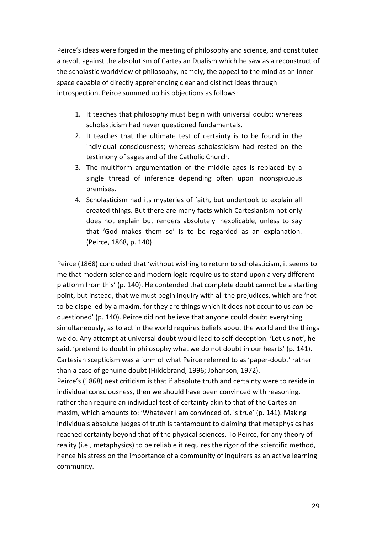Peirce's ideas were forged in the meeting of philosophy and science, and constituted a revolt against the absolutism of Cartesian Dualism which he saw as a reconstruct of the scholastic worldview of philosophy, namely, the appeal to the mind as an inner space capable of directly apprehending clear and distinct ideas through introspection. Peirce summed up his objections as follows:

- 1. It teaches that philosophy must begin with universal doubt; whereas scholasticism had never questioned fundamentals.
- 2. It teaches that the ultimate test of certainty is to be found in the individual consciousness; whereas scholasticism had rested on the testimony of sages and of the Catholic Church.
- 3. The multiform argumentation of the middle ages is replaced by a single thread of inference depending often upon inconspicuous premises.
- 4. Scholasticism had its mysteries of faith, but undertook to explain all created things. But there are many facts which Cartesianism not only does not explain but renders absolutely inexplicable, unless to say that 'God makes them so' is to be regarded as an explanation. (Peirce, 1868, p. 140)

Peirce (1868) concluded that 'without wishing to return to scholasticism, it seems to me that modern science and modern logic require us to stand upon a very different platform from this' (p. 140). He contended that complete doubt cannot be a starting point, but instead, that we must begin inquiry with all the prejudices, which are 'not to be dispelled by a maxim, for they are things which it does not occur to us *can* be questioned' (p. 140). Peirce did not believe that anyone could doubt everything simultaneously, as to act in the world requires beliefs about the world and the things we do. Any attempt at universal doubt would lead to self-deception. 'Let us not', he said, 'pretend to doubt in philosophy what we do not doubt in our hearts' (p. 141). Cartesian scepticism was a form of what Peirce referred to as 'paper-doubt' rather than a case of genuine doubt (Hildebrand, 1996; Johanson, 1972). Peirce's (1868) next criticism is that if absolute truth and certainty were to reside in individual consciousness, then we should have been convinced with reasoning, rather than require an individual test of certainty akin to that of the Cartesian maxim, which amounts to: 'Whatever I am convinced of, is true' (p. 141). Making individuals absolute judges of truth is tantamount to claiming that metaphysics has reached certainty beyond that of the physical sciences. To Peirce, for any theory of reality (i.e., metaphysics) to be reliable it requires the rigor of the scientific method, hence his stress on the importance of a community of inquirers as an active learning

community.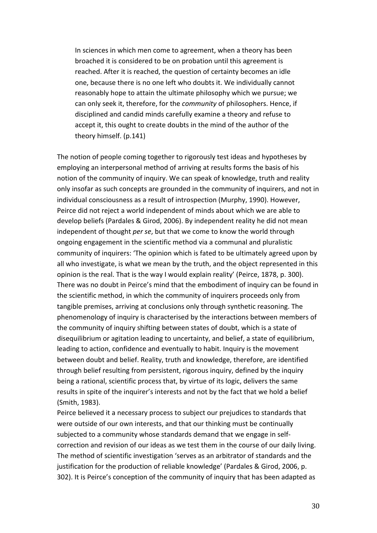In sciences in which men come to agreement, when a theory has been broached it is considered to be on probation until this agreement is reached. After it is reached, the question of certainty becomes an idle one, because there is no one left who doubts it. We individually cannot reasonably hope to attain the ultimate philosophy which we pursue; we can only seek it, therefore, for the *community* of philosophers. Hence, if disciplined and candid minds carefully examine a theory and refuse to accept it, this ought to create doubts in the mind of the author of the theory himself. (p.141)

The notion of people coming together to rigorously test ideas and hypotheses by employing an interpersonal method of arriving at results forms the basis of his notion of the community of inquiry. We can speak of knowledge, truth and reality only insofar as such concepts are grounded in the community of inquirers, and not in individual consciousness as a result of introspection (Murphy, 1990). However, Peirce did not reject a world independent of minds about which we are able to develop beliefs (Pardales & Girod, 2006). By independent reality he did not mean independent of thought *per se*, but that we come to know the world through ongoing engagement in the scientific method via a communal and pluralistic community of inquirers: 'The opinion which is fated to be ultimately agreed upon by all who investigate, is what we mean by the truth, and the object represented in this opinion is the real. That is the way I would explain reality' (Peirce, 1878, p. 300). There was no doubt in Peirce's mind that the embodiment of inquiry can be found in the scientific method, in which the community of inquirers proceeds only from tangible premises, arriving at conclusions only through synthetic reasoning. The phenomenology of inquiry is characterised by the interactions between members of the community of inquiry shifting between states of doubt, which is a state of disequilibrium or agitation leading to uncertainty, and belief, a state of equilibrium, leading to action, confidence and eventually to habit. Inquiry is the movement between doubt and belief. Reality, truth and knowledge, therefore, are identified through belief resulting from persistent, rigorous inquiry, defined by the inquiry being a rational, scientific process that, by virtue of its logic, delivers the same results in spite of the inquirer's interests and not by the fact that we hold a belief (Smith, 1983).

Peirce believed it a necessary process to subject our prejudices to standards that were outside of our own interests, and that our thinking must be continually subjected to a community whose standards demand that we engage in selfcorrection and revision of our ideas as we test them in the course of our daily living. The method of scientific investigation 'serves as an arbitrator of standards and the justification for the production of reliable knowledge' (Pardales & Girod, 2006, p. 302). It is Peirce's conception of the community of inquiry that has been adapted as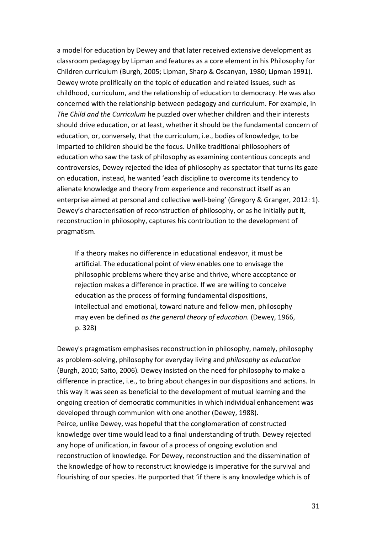a model for education by Dewey and that later received extensive development as classroom pedagogy by Lipman and features as a core element in his Philosophy for Children curriculum (Burgh, 2005; Lipman, Sharp & Oscanyan, 1980; Lipman 1991). Dewey wrote prolifically on the topic of education and related issues, such as childhood, curriculum, and the relationship of education to democracy. He was also concerned with the relationship between pedagogy and curriculum. For example, in *The Child and the Curriculum* he puzzled over whether children and their interests should drive education, or at least, whether it should be the fundamental concern of education, or, conversely, that the curriculum, i.e., bodies of knowledge, to be imparted to children should be the focus. Unlike traditional philosophers of education who saw the task of philosophy as examining contentious concepts and controversies, Dewey rejected the idea of philosophy as spectator that turns its gaze on education, instead, he wanted 'each discipline to overcome its tendency to alienate knowledge and theory from experience and reconstruct itself as an enterprise aimed at personal and collective well-being' (Gregory & Granger, 2012: 1). Dewey's characterisation of reconstruction of philosophy, or as he initially put it, reconstruction in philosophy, captures his contribution to the development of pragmatism.

If a theory makes no difference in educational endeavor, it must be artificial. The educational point of view enables one to envisage the philosophic problems where they arise and thrive, where acceptance or rejection makes a difference in practice. If we are willing to conceive education as the process of forming fundamental dispositions, intellectual and emotional, toward nature and fellow-men, philosophy may even be defined *as the general theory of education.* (Dewey, 1966, p. 328)

Dewey's pragmatism emphasises reconstruction in philosophy, namely, philosophy as problem-solving, philosophy for everyday living and *philosophy as education* (Burgh, 2010; Saito, 2006). Dewey insisted on the need for philosophy to make a difference in practice, i.e., to bring about changes in our dispositions and actions. In this way it was seen as beneficial to the development of mutual learning and the ongoing creation of democratic communities in which individual enhancement was developed through communion with one another (Dewey, 1988). Peirce, unlike Dewey, was hopeful that the conglomeration of constructed knowledge over time would lead to a final understanding of truth. Dewey rejected any hope of unification, in favour of a process of ongoing evolution and reconstruction of knowledge. For Dewey, reconstruction and the dissemination of the knowledge of how to reconstruct knowledge is imperative for the survival and flourishing of our species. He purported that 'if there is any knowledge which is of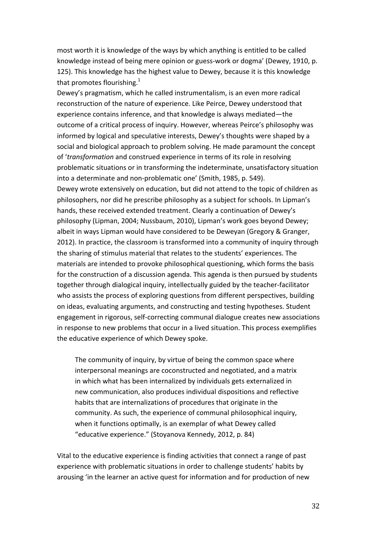most worth it is knowledge of the ways by which anything is entitled to be called knowledge instead of being mere opinion or guess-work or dogma' (Dewey, 1910, p. 125). This knowledge has the highest value to Dewey, because it is this knowledge that promotes flourishing. $1$ 

Dewey's pragmatism, which he called instrumentalism, is an even more radical reconstruction of the nature of experience. Like Peirce, Dewey understood that experience contains inference, and that knowledge is always mediated—the outcome of a critical process of inquiry. However, whereas Peirce's philosophy was informed by logical and speculative interests, Dewey's thoughts were shaped by a social and biological approach to problem solving. He made paramount the concept of 'transformation and construed experience in terms of its role in resolving problematic situations or in transforming the indeterminate, unsatisfactory situation into a determinate and non-problematic one' (Smith, 1985, p. 549). Dewey wrote extensively on education, but did not attend to the topic of children as philosophers, nor did he prescribe philosophy as a subject for schools. In Lipman's hands, these received extended treatment. Clearly a continuation of Dewey's philosophy (Lipman, 2004; Nussbaum, 2010), Lipman's work goes beyond Dewey; albeit in ways Lipman would have considered to be Deweyan (Gregory & Granger, 2012). In practice, the classroom is transformed into a community of inquiry through the sharing of stimulus material that relates to the students' experiences. The materials are intended to provoke philosophical questioning, which forms the basis for the construction of a discussion agenda. This agenda is then pursued by students together through dialogical inquiry, intellectually guided by the teacher-facilitator who assists the process of exploring questions from different perspectives, building on ideas, evaluating arguments, and constructing and testing hypotheses. Student engagement in rigorous, self-correcting communal dialogue creates new associations in response to new problems that occur in a lived situation. This process exemplifies the educative experience of which Dewey spoke.

The community of inquiry, by virtue of being the common space where interpersonal meanings are coconstructed and negotiated, and a matrix in which what has been internalized by individuals gets externalized in new communication, also produces individual dispositions and reflective habits that are internalizations of procedures that originate in the community. As such, the experience of communal philosophical inquiry, when it functions optimally, is an exemplar of what Dewey called "educative experience." (Stoyanova Kennedy, 2012, p. 84)

Vital to the educative experience is finding activities that connect a range of past experience with problematic situations in order to challenge students' habits by arousing 'in the learner an active quest for information and for production of new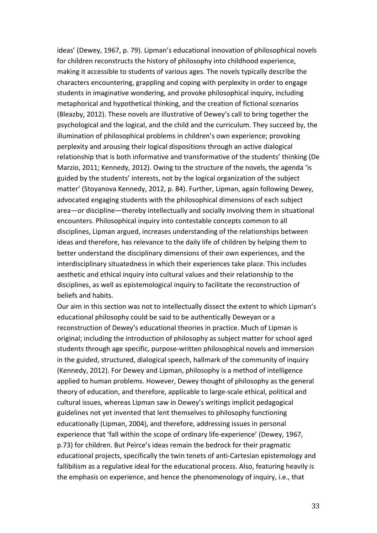ideas' (Dewey, 1967, p. 79). Lipman's educational innovation of philosophical novels for children reconstructs the history of philosophy into childhood experience, making it accessible to students of various ages. The novels typically describe the characters encountering, grappling and coping with perplexity in order to engage students in imaginative wondering, and provoke philosophical inquiry, including metaphorical and hypothetical thinking, and the creation of fictional scenarios (Bleazby, 2012). These novels are illustrative of Dewey's call to bring together the psychological and the logical, and the child and the curriculum. They succeed by, the illumination of philosophical problems in children's own experience; provoking perplexity and arousing their logical dispositions through an active dialogical relationship that is both informative and transformative of the students' thinking (De Marzio, 2011; Kennedy, 2012). Owing to the structure of the novels, the agenda 'is guided by the students' interests, not by the logical organization of the subject matter' (Stoyanova Kennedy, 2012, p. 84). Further, Lipman, again following Dewey, advocated engaging students with the philosophical dimensions of each subject area—or discipline—thereby intellectually and socially involving them in situational encounters. Philosophical inquiry into contestable concepts common to all disciplines, Lipman argued, increases understanding of the relationships between ideas and therefore, has relevance to the daily life of children by helping them to better understand the disciplinary dimensions of their own experiences, and the interdisciplinary situatedness in which their experiences take place. This includes aesthetic and ethical inquiry into cultural values and their relationship to the disciplines, as well as epistemological inquiry to facilitate the reconstruction of beliefs and habits.

Our aim in this section was not to intellectually dissect the extent to which Lipman's educational philosophy could be said to be authentically Deweyan or a reconstruction of Dewey's educational theories in practice. Much of Lipman is original; including the introduction of philosophy as subject matter for school aged students through age specific, purpose-written philosophical novels and immersion in the guided, structured, dialogical speech, hallmark of the community of inquiry (Kennedy, 2012). For Dewey and Lipman, philosophy is a method of intelligence applied to human problems. However, Dewey thought of philosophy as the general theory of education, and therefore, applicable to large-scale ethical, political and cultural issues, whereas Lipman saw in Dewey's writings implicit pedagogical guidelines not yet invented that lent themselves to philosophy functioning educationally (Lipman, 2004), and therefore, addressing issues in personal experience that 'fall within the scope of ordinary life-experience' (Dewey, 1967, p.73) for children. But Peirce's ideas remain the bedrock for their pragmatic educational projects, specifically the twin tenets of anti-Cartesian epistemology and fallibilism as a regulative ideal for the educational process. Also, featuring heavily is the emphasis on experience, and hence the phenomenology of inquiry, i.e., that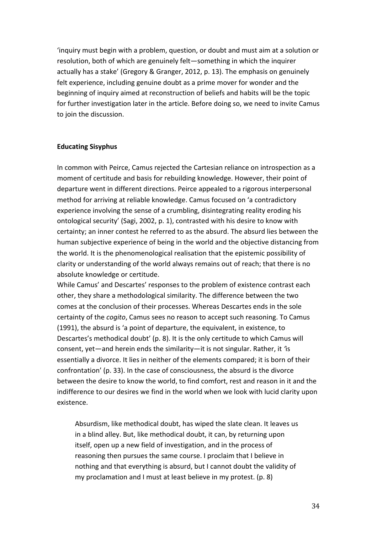'inquiry must begin with a problem, question, or doubt and must aim at a solution or resolution, both of which are genuinely felt—something in which the inquirer actually has a stake' (Gregory & Granger, 2012, p. 13). The emphasis on genuinely felt experience, including genuine doubt as a prime mover for wonder and the beginning of inquiry aimed at reconstruction of beliefs and habits will be the topic for further investigation later in the article. Before doing so, we need to invite Camus to join the discussion.

### **Educating Sisyphus**

In common with Peirce, Camus rejected the Cartesian reliance on introspection as a moment of certitude and basis for rebuilding knowledge. However, their point of departure went in different directions. Peirce appealed to a rigorous interpersonal method for arriving at reliable knowledge. Camus focused on 'a contradictory experience involving the sense of a crumbling, disintegrating reality eroding his ontological security' (Sagi, 2002, p. 1), contrasted with his desire to know with certainty; an inner contest he referred to as the absurd. The absurd lies between the human subjective experience of being in the world and the objective distancing from the world. It is the phenomenological realisation that the epistemic possibility of clarity or understanding of the world always remains out of reach; that there is no absolute knowledge or certitude.

While Camus' and Descartes' responses to the problem of existence contrast each other, they share a methodological similarity. The difference between the two comes at the conclusion of their processes. Whereas Descartes ends in the sole certainty of the *cogito*, Camus sees no reason to accept such reasoning. To Camus (1991), the absurd is 'a point of departure, the equivalent, in existence, to Descartes's methodical doubt' (p. 8). It is the only certitude to which Camus will consent, yet—and herein ends the similarity—it is not singular. Rather, it 'is essentially a divorce. It lies in neither of the elements compared; it is born of their confrontation' (p. 33). In the case of consciousness, the absurd is the divorce between the desire to know the world, to find comfort, rest and reason in it and the indifference to our desires we find in the world when we look with lucid clarity upon existence. 

Absurdism, like methodical doubt, has wiped the slate clean. It leaves us in a blind alley. But, like methodical doubt, it can, by returning upon itself, open up a new field of investigation, and in the process of reasoning then pursues the same course. I proclaim that I believe in nothing and that everything is absurd, but I cannot doubt the validity of my proclamation and I must at least believe in my protest.  $(p. 8)$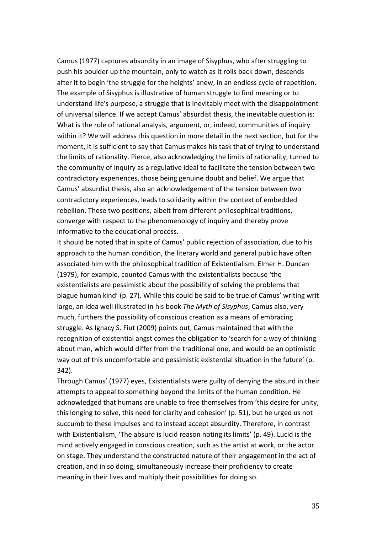Camus (1977) captures absurdity in an image of Sisyphus, who after struggling to push his boulder up the mountain, only to watch as it rolls back down, descends after it to begin 'the struggle for the heights' anew, in an endless cycle of repetition. The example of Sisyphus is illustrative of human struggle to find meaning or to understand life's purpose, a struggle that is inevitably meet with the disappointment of universal silence. If we accept Camus' absurdist thesis, the inevitable question is: What is the role of rational analysis, argument, or, indeed, communities of inquiry within it? We will address this question in more detail in the next section, but for the moment, it is sufficient to say that Camus makes his task that of trying to understand the limits of rationality. Pierce, also acknowledging the limits of rationality, turned to the community of inquiry as a regulative ideal to facilitate the tension between two contradictory experiences, those being genuine doubt and belief. We argue that Camus' absurdist thesis, also an acknowledgement of the tension between two contradictory experiences, leads to solidarity within the context of embedded rebellion. These two positions, albeit from different philosophical traditions, converge with respect to the phenomenology of inquiry and thereby prove informative to the educational process.

It should be noted that in spite of Camus' public rejection of association, due to his approach to the human condition, the literary world and general public have often associated him with the philosophical tradition of Existentialism. Elmer H. Duncan (1979), for example, counted Camus with the existentialists because 'the existentialists are pessimistic about the possibility of solving the problems that plague human kind' (p. 27). While this could be said to be true of Camus' writing writ large, an idea well illustrated in his book The Myth of Sisyphus, Camus also, very much, furthers the possibility of conscious creation as a means of embracing struggle. As Ignacy S. Fiut (2009) points out, Camus maintained that with the recognition of existential angst comes the obligation to 'search for a way of thinking about man, which would differ from the traditional one, and would be an optimistic way out of this uncomfortable and pessimistic existential situation in the future' (p. 342).

Through Camus' (1977) eyes, Existentialists were guilty of denying the absurd in their attempts to appeal to something beyond the limits of the human condition. He acknowledged that humans are unable to free themselves from 'this desire for unity, this longing to solve, this need for clarity and cohesion' (p. 51), but he urged us not succumb to these impulses and to instead accept absurdity. Therefore, in contrast with Existentialism, 'The absurd is lucid reason noting its limits' (p. 49). Lucid is the mind actively engaged in conscious creation, such as the artist at work, or the actor on stage. They understand the constructed nature of their engagement in the act of creation, and in so doing, simultaneously increase their proficiency to create meaning in their lives and multiply their possibilities for doing so.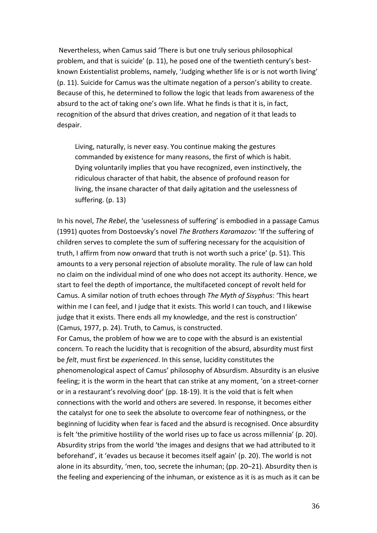Nevertheless, when Camus said 'There is but one truly serious philosophical problem, and that is suicide' (p. 11), he posed one of the twentieth century's bestknown Existentialist problems, namely, 'Judging whether life is or is not worth living' (p. 11). Suicide for Camus was the ultimate negation of a person's ability to create. Because of this, he determined to follow the logic that leads from awareness of the absurd to the act of taking one's own life. What he finds is that it is, in fact, recognition of the absurd that drives creation, and negation of it that leads to despair. 

Living, naturally, is never easy. You continue making the gestures commanded by existence for many reasons, the first of which is habit. Dying voluntarily implies that you have recognized, even instinctively, the ridiculous character of that habit, the absence of profound reason for living, the insane character of that daily agitation and the uselessness of suffering. (p. 13)

In his novel, *The Rebel*, the 'uselessness of suffering' is embodied in a passage Camus (1991) quotes from Dostoevsky's novel The Brothers Karamazov: 'If the suffering of children serves to complete the sum of suffering necessary for the acquisition of truth, I affirm from now onward that truth is not worth such a price' (p. 51). This amounts to a very personal rejection of absolute morality. The rule of law can hold no claim on the individual mind of one who does not accept its authority. Hence, we start to feel the depth of importance, the multifaceted concept of revolt held for Camus. A similar notion of truth echoes through *The Myth of Sisyphus*: 'This heart within me I can feel, and I judge that it exists. This world I can touch, and I likewise judge that it exists. There ends all my knowledge, and the rest is construction' (Camus, 1977, p. 24). Truth, to Camus, is constructed.

For Camus, the problem of how we are to cope with the absurd is an existential concern. To reach the lucidity that is recognition of the absurd, absurdity must first be *felt*, must first be *experienced*. In this sense, lucidity constitutes the phenomenological aspect of Camus' philosophy of Absurdism. Absurdity is an elusive feeling; it is the worm in the heart that can strike at any moment, 'on a street-corner or in a restaurant's revolving door' (pp. 18-19). It is the void that is felt when connections with the world and others are severed. In response, it becomes either the catalyst for one to seek the absolute to overcome fear of nothingness, or the beginning of lucidity when fear is faced and the absurd is recognised. Once absurdity is felt 'the primitive hostility of the world rises up to face us across millennia' (p. 20). Absurdity strips from the world 'the images and designs that we had attributed to it beforehand', it 'evades us because it becomes itself again' (p. 20). The world is not alone in its absurdity, 'men, too, secrete the inhuman; (pp. 20–21). Absurdity then is the feeling and experiencing of the inhuman, or existence as it is as much as it can be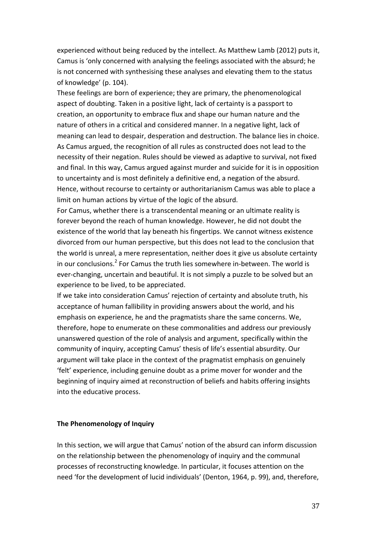experienced without being reduced by the intellect. As Matthew Lamb (2012) puts it, Camus is 'only concerned with analysing the feelings associated with the absurd; he is not concerned with synthesising these analyses and elevating them to the status of knowledge' (p. 104).

These feelings are born of experience; they are primary, the phenomenological aspect of doubting. Taken in a positive light, lack of certainty is a passport to creation, an opportunity to embrace flux and shape our human nature and the nature of others in a critical and considered manner. In a negative light, lack of meaning can lead to despair, desperation and destruction. The balance lies in choice. As Camus argued, the recognition of all rules as constructed does not lead to the necessity of their negation. Rules should be viewed as adaptive to survival, not fixed and final. In this way, Camus argued against murder and suicide for it is in opposition to uncertainty and is most definitely a definitive end, a negation of the absurd. Hence, without recourse to certainty or authoritarianism Camus was able to place a limit on human actions by virtue of the logic of the absurd.

For Camus, whether there is a transcendental meaning or an ultimate reality is forever beyond the reach of human knowledge. However, he did not doubt the existence of the world that lay beneath his fingertips. We cannot witness existence divorced from our human perspective, but this does not lead to the conclusion that the world is unreal, a mere representation, neither does it give us absolute certainty in our conclusions.<sup>2</sup> For Camus the truth lies somewhere in-between. The world is ever-changing, uncertain and beautiful. It is not simply a puzzle to be solved but an experience to be lived, to be appreciated.

If we take into consideration Camus' rejection of certainty and absolute truth, his acceptance of human fallibility in providing answers about the world, and his emphasis on experience, he and the pragmatists share the same concerns. We, therefore, hope to enumerate on these commonalities and address our previously unanswered question of the role of analysis and argument, specifically within the community of inquiry, accepting Camus' thesis of life's essential absurdity. Our argument will take place in the context of the pragmatist emphasis on genuinely 'felt' experience, including genuine doubt as a prime mover for wonder and the beginning of inquiry aimed at reconstruction of beliefs and habits offering insights into the educative process.

#### **The Phenomenology of Inquiry**

In this section, we will argue that Camus' notion of the absurd can inform discussion on the relationship between the phenomenology of inquiry and the communal processes of reconstructing knowledge. In particular, it focuses attention on the need 'for the development of lucid individuals' (Denton, 1964, p. 99), and, therefore,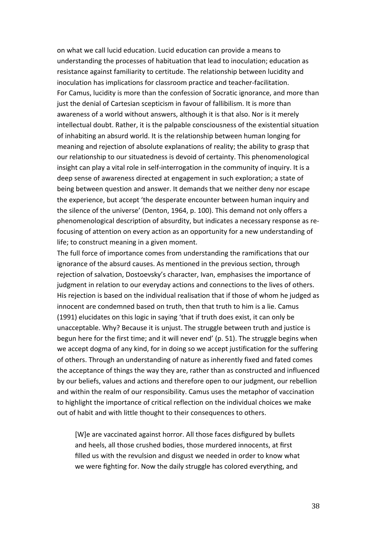on what we call lucid education. Lucid education can provide a means to understanding the processes of habituation that lead to inoculation; education as resistance against familiarity to certitude. The relationship between lucidity and inoculation has implications for classroom practice and teacher-facilitation. For Camus, lucidity is more than the confession of Socratic ignorance, and more than just the denial of Cartesian scepticism in favour of fallibilism. It is more than awareness of a world without answers, although it is that also. Nor is it merely intellectual doubt. Rather, it is the palpable consciousness of the existential situation of inhabiting an absurd world. It is the relationship between human longing for meaning and rejection of absolute explanations of reality; the ability to grasp that our relationship to our situatedness is devoid of certainty. This phenomenological insight can play a vital role in self-interrogation in the community of inquiry. It is a deep sense of awareness directed at engagement in such exploration; a state of being between question and answer. It demands that we neither deny nor escape the experience, but accept 'the desperate encounter between human inquiry and the silence of the universe' (Denton, 1964, p. 100). This demand not only offers a phenomenological description of absurdity, but indicates a necessary response as refocusing of attention on every action as an opportunity for a new understanding of life; to construct meaning in a given moment.

The full force of importance comes from understanding the ramifications that our ignorance of the absurd causes. As mentioned in the previous section, through rejection of salvation, Dostoevsky's character, Ivan, emphasises the importance of judgment in relation to our everyday actions and connections to the lives of others. His rejection is based on the individual realisation that if those of whom he judged as innocent are condemned based on truth, then that truth to him is a lie. Camus (1991) elucidates on this logic in saying 'that if truth does exist, it can only be unacceptable. Why? Because it is unjust. The struggle between truth and justice is begun here for the first time; and it will never end' (p. 51). The struggle begins when we accept dogma of any kind, for in doing so we accept justification for the suffering of others. Through an understanding of nature as inherently fixed and fated comes the acceptance of things the way they are, rather than as constructed and influenced by our beliefs, values and actions and therefore open to our judgment, our rebellion and within the realm of our responsibility. Camus uses the metaphor of vaccination to highlight the importance of critical reflection on the individual choices we make out of habit and with little thought to their consequences to others.

[W]e are vaccinated against horror. All those faces disfigured by bullets and heels, all those crushed bodies, those murdered innocents, at first filled us with the revulsion and disgust we needed in order to know what we were fighting for. Now the daily struggle has colored everything, and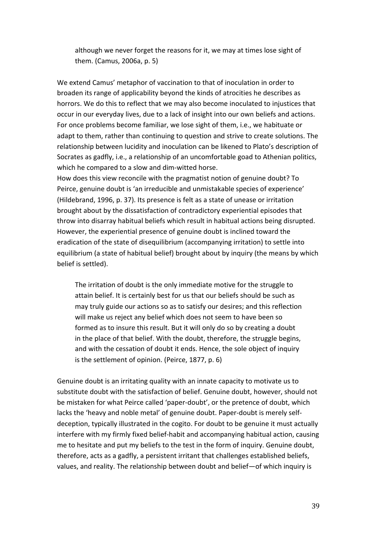although we never forget the reasons for it, we may at times lose sight of them. (Camus, 2006a, p. 5)

We extend Camus' metaphor of vaccination to that of inoculation in order to broaden its range of applicability beyond the kinds of atrocities he describes as horrors. We do this to reflect that we may also become inoculated to injustices that occur in our everyday lives, due to a lack of insight into our own beliefs and actions. For once problems become familiar, we lose sight of them, i.e., we habituate or adapt to them, rather than continuing to question and strive to create solutions. The relationship between lucidity and inoculation can be likened to Plato's description of Socrates as gadfly, i.e., a relationship of an uncomfortable goad to Athenian politics, which he compared to a slow and dim-witted horse.

How does this view reconcile with the pragmatist notion of genuine doubt? To Peirce, genuine doubt is 'an irreducible and unmistakable species of experience' (Hildebrand, 1996, p. 37). Its presence is felt as a state of unease or irritation brought about by the dissatisfaction of contradictory experiential episodes that throw into disarray habitual beliefs which result in habitual actions being disrupted. However, the experiential presence of genuine doubt is inclined toward the eradication of the state of disequilibrium (accompanying irritation) to settle into equilibrium (a state of habitual belief) brought about by inquiry (the means by which belief is settled).

The irritation of doubt is the only immediate motive for the struggle to attain belief. It is certainly best for us that our beliefs should be such as may truly guide our actions so as to satisfy our desires; and this reflection will make us reject any belief which does not seem to have been so formed as to insure this result. But it will only do so by creating a doubt in the place of that belief. With the doubt, therefore, the struggle begins, and with the cessation of doubt it ends. Hence, the sole object of inquiry is the settlement of opinion. (Peirce, 1877, p. 6)

Genuine doubt is an irritating quality with an innate capacity to motivate us to substitute doubt with the satisfaction of belief. Genuine doubt, however, should not be mistaken for what Peirce called 'paper-doubt', or the pretence of doubt, which lacks the 'heavy and noble metal' of genuine doubt. Paper-doubt is merely selfdeception, typically illustrated in the cogito. For doubt to be genuine it must actually interfere with my firmly fixed belief-habit and accompanying habitual action, causing me to hesitate and put my beliefs to the test in the form of inquiry. Genuine doubt, therefore, acts as a gadfly, a persistent irritant that challenges established beliefs, values, and reality. The relationship between doubt and belief—of which inquiry is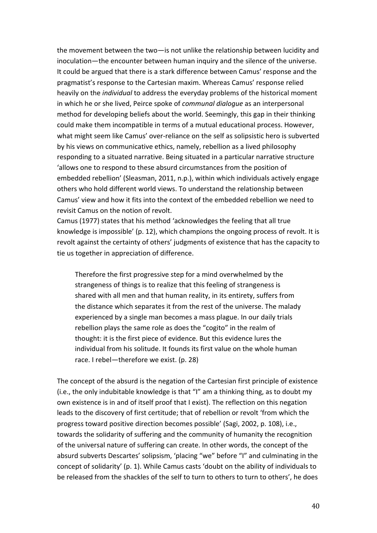the movement between the two—is not unlike the relationship between lucidity and inoculation—the encounter between human inquiry and the silence of the universe. It could be argued that there is a stark difference between Camus' response and the pragmatist's response to the Cartesian maxim. Whereas Camus' response relied heavily on the *individual* to address the everyday problems of the historical moment in which he or she lived, Peirce spoke of *communal dialogue* as an interpersonal method for developing beliefs about the world. Seemingly, this gap in their thinking could make them incompatible in terms of a mutual educational process. However, what might seem like Camus' over-reliance on the self as solipsistic hero is subverted by his views on communicative ethics, namely, rebellion as a lived philosophy responding to a situated narrative. Being situated in a particular narrative structure 'allows one to respond to these absurd circumstances from the position of embedded rebellion' (Sleasman, 2011, n.p.), within which individuals actively engage others who hold different world views. To understand the relationship between Camus' view and how it fits into the context of the embedded rebellion we need to revisit Camus on the notion of revolt.

Camus (1977) states that his method 'acknowledges the feeling that all true knowledge is impossible' (p. 12), which champions the ongoing process of revolt. It is revolt against the certainty of others' judgments of existence that has the capacity to tie us together in appreciation of difference.

Therefore the first progressive step for a mind overwhelmed by the strangeness of things is to realize that this feeling of strangeness is shared with all men and that human reality, in its entirety, suffers from the distance which separates it from the rest of the universe. The malady experienced by a single man becomes a mass plague. In our daily trials rebellion plays the same role as does the "cogito" in the realm of thought: it is the first piece of evidence. But this evidence lures the individual from his solitude. It founds its first value on the whole human race. I rebel—therefore we exist. (p. 28)

The concept of the absurd is the negation of the Cartesian first principle of existence (i.e., the only indubitable knowledge is that "I" am a thinking thing, as to doubt my own existence is in and of itself proof that I exist). The reflection on this negation leads to the discovery of first certitude; that of rebellion or revolt 'from which the progress toward positive direction becomes possible' (Sagi, 2002, p. 108), i.e., towards the solidarity of suffering and the community of humanity the recognition of the universal nature of suffering can create. In other words, the concept of the absurd subverts Descartes' solipsism, 'placing "we" before "I" and culminating in the concept of solidarity' (p. 1). While Camus casts 'doubt on the ability of individuals to be released from the shackles of the self to turn to others to turn to others', he does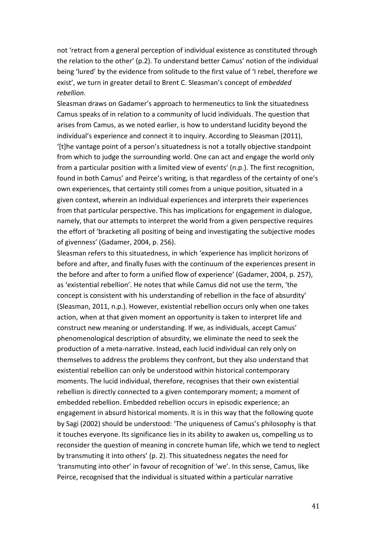not 'retract from a general perception of individual existence as constituted through the relation to the other' (p.2). To understand better Camus' notion of the individual being 'lured' by the evidence from solitude to the first value of 'I rebel, therefore we exist', we turn in greater detail to Brent C. Sleasman's concept of *embedded rebellion*.

Sleasman draws on Gadamer's approach to hermeneutics to link the situatedness Camus speaks of in relation to a community of lucid individuals. The question that arises from Camus, as we noted earlier, is how to understand lucidity beyond the individual's experience and connect it to inquiry. According to Sleasman (2011), '[t]he vantage point of a person's situatedness is not a totally objective standpoint from which to judge the surrounding world. One can act and engage the world only from a particular position with a limited view of events' (n.p.). The first recognition, found in both Camus' and Peirce's writing, is that regardless of the certainty of one's own experiences, that certainty still comes from a unique position, situated in a given context, wherein an individual experiences and interprets their experiences from that particular perspective. This has implications for engagement in dialogue, namely, that our attempts to interpret the world from a given perspective requires the effort of 'bracketing all positing of being and investigating the subjective modes of givenness' (Gadamer, 2004, p. 256).

Sleasman refers to this situatedness, in which 'experience has implicit horizons of before and after, and finally fuses with the continuum of the experiences present in the before and after to form a unified flow of experience' (Gadamer, 2004, p. 257), as 'existential rebellion'. He notes that while Camus did not use the term, 'the concept is consistent with his understanding of rebellion in the face of absurdity' (Sleasman, 2011, n.p.). However, existential rebellion occurs only when one takes action, when at that given moment an opportunity is taken to interpret life and construct new meaning or understanding. If we, as individuals, accept Camus' phenomenological description of absurdity, we eliminate the need to seek the production of a meta-narrative. Instead, each lucid individual can rely only on themselves to address the problems they confront, but they also understand that existential rebellion can only be understood within historical contemporary moments. The lucid individual, therefore, recognises that their own existential rebellion is directly connected to a given contemporary moment; a moment of embedded rebellion. Embedded rebellion occurs in episodic experience; an engagement in absurd historical moments. It is in this way that the following quote by Sagi (2002) should be understood: 'The uniqueness of Camus's philosophy is that it touches everyone. Its significance lies in its ability to awaken us, compelling us to reconsider the question of meaning in concrete human life, which we tend to neglect by transmuting it into others' (p. 2). This situatedness negates the need for 'transmuting into other' in favour of recognition of 'we'. In this sense, Camus, like Peirce, recognised that the individual is situated within a particular narrative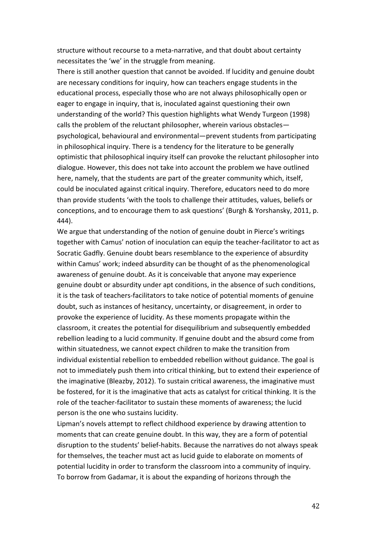structure without recourse to a meta-narrative, and that doubt about certainty necessitates the 'we' in the struggle from meaning.

There is still another question that cannot be avoided. If lucidity and genuine doubt are necessary conditions for inquiry, how can teachers engage students in the educational process, especially those who are not always philosophically open or eager to engage in inquiry, that is, inoculated against questioning their own understanding of the world? This question highlights what Wendy Turgeon (1998) calls the problem of the reluctant philosopher, wherein various obstacles psychological, behavioural and environmental—prevent students from participating in philosophical inquiry. There is a tendency for the literature to be generally optimistic that philosophical inquiry itself can provoke the reluctant philosopher into dialogue. However, this does not take into account the problem we have outlined here, namely, that the students are part of the greater community which, itself, could be inoculated against critical inquiry. Therefore, educators need to do more than provide students 'with the tools to challenge their attitudes, values, beliefs or conceptions, and to encourage them to ask questions' (Burgh & Yorshansky, 2011, p. 444).

We argue that understanding of the notion of genuine doubt in Pierce's writings together with Camus' notion of inoculation can equip the teacher-facilitator to act as Socratic Gadfly. Genuine doubt bears resemblance to the experience of absurdity within Camus' work; indeed absurdity can be thought of as the phenomenological awareness of genuine doubt. As it is conceivable that anyone may experience genuine doubt or absurdity under apt conditions, in the absence of such conditions, it is the task of teachers-facilitators to take notice of potential moments of genuine doubt, such as instances of hesitancy, uncertainty, or disagreement, in order to provoke the experience of lucidity. As these moments propagate within the classroom, it creates the potential for disequilibrium and subsequently embedded rebellion leading to a lucid community. If genuine doubt and the absurd come from within situatedness, we cannot expect children to make the transition from individual existential rebellion to embedded rebellion without guidance. The goal is not to immediately push them into critical thinking, but to extend their experience of the imaginative (Bleazby, 2012). To sustain critical awareness, the imaginative must be fostered, for it is the imaginative that acts as catalyst for critical thinking. It is the role of the teacher-facilitator to sustain these moments of awareness; the lucid person is the one who sustains lucidity.

Lipman's novels attempt to reflect childhood experience by drawing attention to moments that can create genuine doubt. In this way, they are a form of potential disruption to the students' belief-habits. Because the narratives do not always speak for themselves, the teacher must act as lucid guide to elaborate on moments of potential lucidity in order to transform the classroom into a community of inquiry. To borrow from Gadamar, it is about the expanding of horizons through the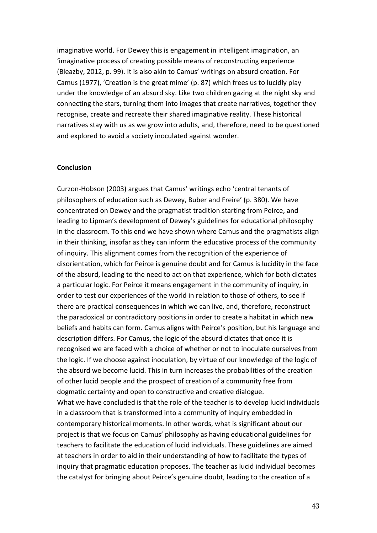imaginative world. For Dewey this is engagement in intelligent imagination, an 'imaginative process of creating possible means of reconstructing experience (Bleazby, 2012, p. 99). It is also akin to Camus' writings on absurd creation. For Camus (1977), 'Creation is the great mime' (p. 87) which frees us to lucidly play under the knowledge of an absurd sky. Like two children gazing at the night sky and connecting the stars, turning them into images that create narratives, together they recognise, create and recreate their shared imaginative reality. These historical narratives stay with us as we grow into adults, and, therefore, need to be questioned and explored to avoid a society inoculated against wonder.

### **Conclusion**

Curzon-Hobson (2003) argues that Camus' writings echo 'central tenants of philosophers of education such as Dewey, Buber and Freire' (p. 380). We have concentrated on Dewey and the pragmatist tradition starting from Peirce, and leading to Lipman's development of Dewey's guidelines for educational philosophy in the classroom. To this end we have shown where Camus and the pragmatists align in their thinking, insofar as they can inform the educative process of the community of inquiry. This alignment comes from the recognition of the experience of disorientation, which for Peirce is genuine doubt and for Camus is lucidity in the face of the absurd, leading to the need to act on that experience, which for both dictates a particular logic. For Peirce it means engagement in the community of inquiry, in order to test our experiences of the world in relation to those of others, to see if there are practical consequences in which we can live, and, therefore, reconstruct the paradoxical or contradictory positions in order to create a habitat in which new beliefs and habits can form. Camus aligns with Peirce's position, but his language and description differs. For Camus, the logic of the absurd dictates that once it is recognised we are faced with a choice of whether or not to inoculate ourselves from the logic. If we choose against inoculation, by virtue of our knowledge of the logic of the absurd we become lucid. This in turn increases the probabilities of the creation of other lucid people and the prospect of creation of a community free from dogmatic certainty and open to constructive and creative dialogue. What we have concluded is that the role of the teacher is to develop lucid individuals in a classroom that is transformed into a community of inquiry embedded in contemporary historical moments. In other words, what is significant about our project is that we focus on Camus' philosophy as having educational guidelines for teachers to facilitate the education of lucid individuals. These guidelines are aimed at teachers in order to aid in their understanding of how to facilitate the types of inquiry that pragmatic education proposes. The teacher as lucid individual becomes the catalyst for bringing about Peirce's genuine doubt, leading to the creation of a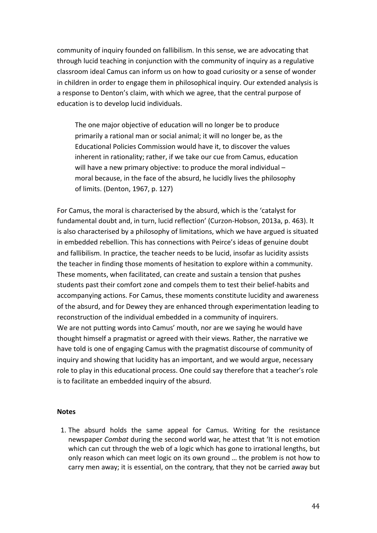community of inquiry founded on fallibilism. In this sense, we are advocating that through lucid teaching in conjunction with the community of inquiry as a regulative classroom ideal Camus can inform us on how to goad curiosity or a sense of wonder in children in order to engage them in philosophical inquiry. Our extended analysis is a response to Denton's claim, with which we agree, that the central purpose of education is to develop lucid individuals.

The one major objective of education will no longer be to produce primarily a rational man or social animal: it will no longer be, as the Educational Policies Commission would have it, to discover the values inherent in rationality; rather, if we take our cue from Camus, education will have a new primary objective: to produce the moral individual  $$ moral because, in the face of the absurd, he lucidly lives the philosophy of limits. (Denton, 1967, p. 127)

For Camus, the moral is characterised by the absurd, which is the 'catalyst for fundamental doubt and, in turn, lucid reflection' (Curzon-Hobson, 2013a, p. 463). It is also characterised by a philosophy of limitations, which we have argued is situated in embedded rebellion. This has connections with Peirce's ideas of genuine doubt and fallibilism. In practice, the teacher needs to be lucid, insofar as lucidity assists the teacher in finding those moments of hesitation to explore within a community. These moments, when facilitated, can create and sustain a tension that pushes students past their comfort zone and compels them to test their belief-habits and accompanying actions. For Camus, these moments constitute lucidity and awareness of the absurd, and for Dewey they are enhanced through experimentation leading to reconstruction of the individual embedded in a community of inquirers. We are not putting words into Camus' mouth, nor are we saying he would have thought himself a pragmatist or agreed with their views. Rather, the narrative we have told is one of engaging Camus with the pragmatist discourse of community of inquiry and showing that lucidity has an important, and we would argue, necessary role to play in this educational process. One could say therefore that a teacher's role is to facilitate an embedded inquiry of the absurd.

#### **Notes**

1. The absurd holds the same appeal for Camus. Writing for the resistance newspaper *Combat* during the second world war, he attest that 'It is not emotion which can cut through the web of a logic which has gone to irrational lengths, but only reason which can meet logic on its own ground ... the problem is not how to carry men away; it is essential, on the contrary, that they not be carried away but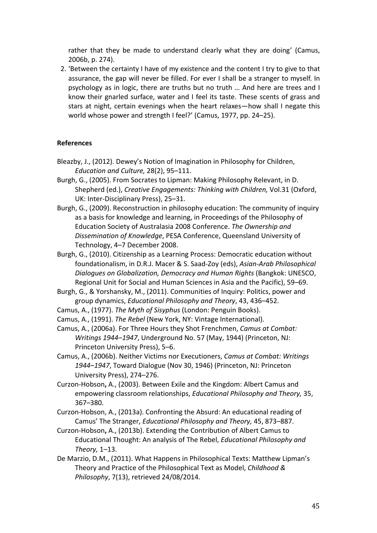rather that they be made to understand clearly what they are doing' (Camus, 2006b, p. 274).

2. 'Between the certainty I have of my existence and the content I try to give to that assurance, the gap will never be filled. For ever I shall be a stranger to myself. In psychology as in logic, there are truths but no truth ... And here are trees and I know their gnarled surface, water and I feel its taste. These scents of grass and stars at night, certain evenings when the heart relaxes—how shall I negate this world whose power and strength I feel?' (Camus, 1977, pp. 24–25).

# **References**

- Bleazby, J., (2012). Dewey's Notion of Imagination in Philosophy for Children, *Education and Culture,* 28(2), 95–111.
- Burgh, G., (2005). From Socrates to Lipman: Making Philosophy Relevant, in D. Shepherd (ed.), *Creative Engagements: Thinking with Children, Vol.31* (Oxford, UK: Inter-Disciplinary Press), 25-31.
- Burgh, G., (2009). Reconstruction in philosophy education: The community of inquiry as a basis for knowledge and learning, in Proceedings of the Philosophy of Education Society of Australasia 2008 Conference. The Ownership and *Dissemination of Knowledge*, PESA Conference, Queensland University of Technology, 4-7 December 2008.
- Burgh, G., (2010). Citizenship as a Learning Process: Democratic education without foundationalism, in D.R.J. Macer & S. Saad-Zoy (eds), *Asian-Arab Philosophical Dialogues on Globalization, Democracy and Human Rights* (Bangkok: UNESCO, Regional Unit for Social and Human Sciences in Asia and the Pacific), 59–69.
- Burgh, G., & Yorshansky, M., (2011). Communities of Inquiry: Politics, power and group dynamics, *Educational Philosophy and Theory*, 43, 436–452.
- Camus, A., (1977). *The Myth of Sisyphus* (London: Penguin Books).
- Camus, A., (1991). *The Rebel* (New York, NY: Vintage International).

Camus, A., (2006a). For Three Hours they Shot Frenchmen, *Camus at Combat: Writings* 1944–1947, Underground No. 57 (May, 1944) (Princeton, NJ: Princeton University Press), 5-6.

- Camus, A., (2006b). Neither Victims nor Executioners, *Camus at Combat: Writings* 1944–1947, Toward Dialogue (Nov 30, 1946) (Princeton, NJ: Princeton University Press), 274-276.
- Curzon-Hobson, A., (2003). Between Exile and the Kingdom: Albert Camus and empowering classroom relationships, *Educational Philosophy and Theory,* 35, 367–380.
- Curzon-Hobson, A., (2013a). Confronting the Absurd: An educational reading of Camus' The Stranger, *Educational Philosophy and Theory*, 45, 873–887.
- Curzon-Hobson, A., (2013b). Extending the Contribution of Albert Camus to Educational Thought: An analysis of The Rebel, *Educational Philosophy and Theory,* 1–13.
- De Marzio, D.M., (2011). What Happens in Philosophical Texts: Matthew Lipman's Theory and Practice of the Philosophical Text as Model, *Childhood & Philosophy, 7(13), retrieved 24/08/2014.*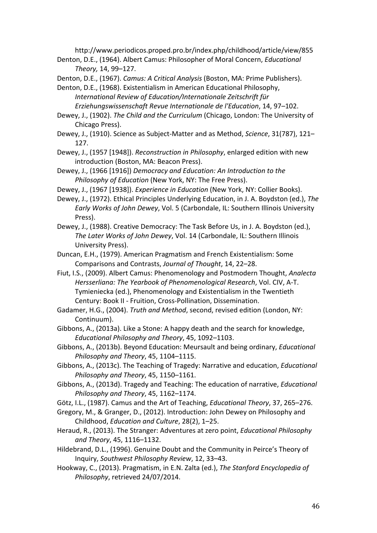http://www.periodicos.proped.pro.br/index.php/childhood/article/view/855

Denton, D.E., (1964). Albert Camus: Philosopher of Moral Concern, *Educational Theory,* 14, 99–127.

Denton, D.E., (1967). *Camus: A Critical Analysis* (Boston, MA: Prime Publishers).

Denton, D.E., (1968). Existentialism in American Educational Philosophy, International Review of Education/Internationale Zeitschrift für *Erziehungswissenschaft Revue Internationale de l'Education*, 14, 97–102.

Dewey, J., (1902). *The Child and the Curriculum* (Chicago, London: The University of Chicago Press).

Dewey, J., (1910). Science as Subject-Matter and as Method, *Science*, 31(787), 121– 127.

Dewey, J., (1957 [1948]). *Reconstruction in Philosophy*, enlarged edition with new introduction (Boston, MA: Beacon Press).

Dewey, J., (1966 [1916]) *Democracy and Education: An Introduction to the Philosophy of Education* (New York, NY: The Free Press).

Dewey, J., (1967 [1938]). *Experience in Education* (New York, NY: Collier Books).

Dewey, J., (1972). Ethical Principles Underlying Education, in J. A. Boydston (ed.), The *Early Works of John Dewey, Vol.* 5 (Carbondale, IL: Southern Illinois University Press).

Dewey, J., (1988). Creative Democracy: The Task Before Us, in J. A. Boydston (ed.), The Later Works of John Dewey, Vol. 14 (Carbondale, IL: Southern Illinois University Press).

Duncan, E.H., (1979). American Pragmatism and French Existentialism: Some Comparisons and Contrasts, *Journal of Thought*, 14, 22–28.

Fiut, I.S., (2009). Albert Camus: Phenomenology and Postmodern Thought, *Analecta Hersserliana: The Yearbook of Phenomenological Research*, Vol. CIV, A-T. Tymieniecka (ed.), Phenomenology and Existentialism in the Twentieth Century: Book II - Fruition, Cross-Pollination, Dissemination.

Gadamer, H.G., (2004). *Truth and Method*, second, revised edition (London, NY: Continuum).

Gibbons, A., (2013a). Like a Stone: A happy death and the search for knowledge, *Educational Philosophy and Theory*, 45, 1092–1103.

Gibbons, A., (2013b). Beyond Education: Meursault and being ordinary, *Educational Philosophy and Theory*, 45, 1104–1115.

Gibbons, A., (2013c). The Teaching of Tragedy: Narrative and education, *Educational Philosophy and Theory*, 45, 1150–1161.

Gibbons, A., (2013d). Tragedy and Teaching: The education of narrative, *Educational Philosophy and Theory*, 45, 1162–1174.

Götz, I.L., (1987). Camus and the Art of Teaching, *Educational Theory*, 37, 265–276.

- Gregory, M., & Granger, D., (2012). Introduction: John Dewey on Philosophy and Childhood, *Education and Culture*, 28(2), 1–25.
- Heraud, R., (2013). The Stranger: Adventures at zero point, *Educational Philosophy and Theory*, 45, 1116–1132.

Hildebrand, D.L., (1996). Genuine Doubt and the Community in Peirce's Theory of Inquiry, *Southwest Philosophy Review*, 12, 33–43.

Hookway, C., (2013). Pragmatism, in E.N. Zalta (ed.), *The Stanford Encyclopedia of* Philosophy, retrieved 24/07/2014.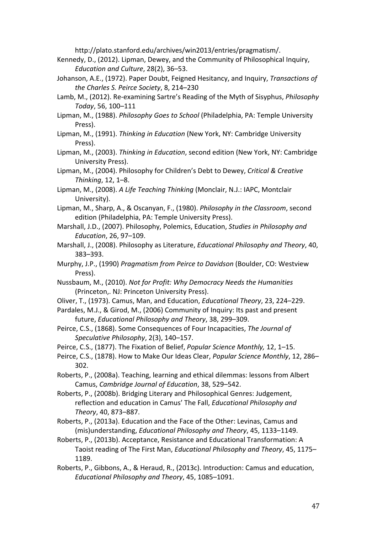http://plato.stanford.edu/archives/win2013/entries/pragmatism/.

- Kennedy, D., (2012). Lipman, Dewey, and the Community of Philosophical Inquiry, *Education and Culture*, 28(2), 36–53.
- Johanson, A.E., (1972). Paper Doubt, Feigned Hesitancy, and Inquiry, *Transactions of the Charles S. Peirce Society*, 8, 214–230
- Lamb, M., (2012). Re-examining Sartre's Reading of the Myth of Sisyphus, *Philosophy Today*, 56, 100–111
- Lipman, M., (1988). *Philosophy Goes to School* (Philadelphia, PA: Temple University Press).
- Lipman, M., (1991). *Thinking in Education* (New York, NY: Cambridge University Press).
- Lipman, M., (2003). *Thinking in Education*, second edition (New York, NY: Cambridge University Press).
- Lipman, M., (2004). Philosophy for Children's Debt to Dewey, *Critical & Creative Thinking*, 12, 1–8.
- Lipman, M., (2008). A Life Teaching Thinking (Monclair, N.J.: IAPC, Montclair University).
- Lipman, M., Sharp, A., & Oscanyan, F., (1980). *Philosophy in the Classroom*, second edition (Philadelphia, PA: Temple University Press).
- Marshall, J.D., (2007). Philosophy, Polemics, Education, *Studies in Philosophy and Education*, 26, 97–109.
- Marshall, J., (2008). Philosophy as Literature, *Educational Philosophy and Theory*, 40, 383–393.
- Murphy, J.P., (1990) *Pragmatism from Peirce to Davidson* (Boulder, CO: Westview Press).
- Nussbaum, M., (2010). *Not for Profit: Why Democracy Needs the Humanities* (Princeton,. NJ: Princeton University Press).
- Oliver, T., (1973). Camus, Man, and Education, *Educational Theory*, 23, 224–229.
- Pardales, M.J., & Girod, M., (2006) Community of Inquiry: Its past and present future, *Educational Philosophy and Theory*, 38, 299–309.
- Peirce, C.S., (1868). Some Consequences of Four Incapacities, The Journal of *Speculative Philosophy*, 2(3), 140–157.
- Peirce, C.S., (1877). The Fixation of Belief, *Popular Science Monthly*, 12, 1-15.
- Peirce, C.S., (1878). How to Make Our Ideas Clear, *Popular Science Monthly*, 12, 286– 302.
- Roberts, P., (2008a). Teaching, learning and ethical dilemmas: lessons from Albert Camus, *Cambridge Journal of Education*, 38, 529–542.
- Roberts, P., (2008b). Bridging Literary and Philosophical Genres: Judgement, reflection and education in Camus' The Fall, *Educational Philosophy and Theory*, 40, 873–887.
- Roberts, P., (2013a). Education and the Face of the Other: Levinas, Camus and (mis)understanding, *Educational Philosophy and Theory*, 45, 1133–1149.
- Roberts, P., (2013b). Acceptance, Resistance and Educational Transformation: A Taoist reading of The First Man, *Educational Philosophy and Theory*, 45, 1175– 1189.
- Roberts, P., Gibbons, A., & Heraud, R., (2013c). Introduction: Camus and education, *Educational Philosophy and Theory*, 45, 1085–1091.